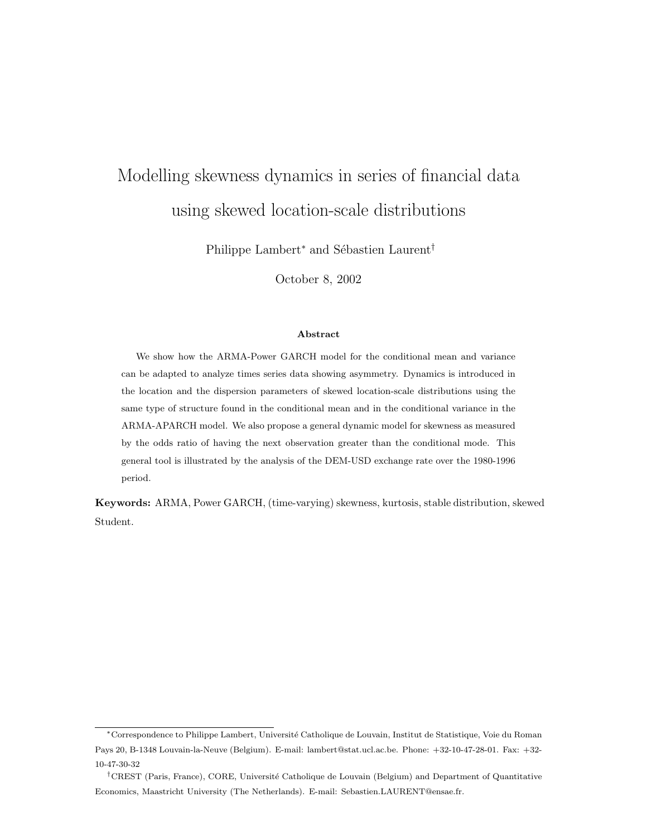# Modelling skewness dynamics in series of financial data using skewed location-scale distributions

Philippe Lambert<sup>∗</sup> and Sébastien Laurent<sup>†</sup>

October 8, 2002

#### Abstract

We show how the ARMA-Power GARCH model for the conditional mean and variance can be adapted to analyze times series data showing asymmetry. Dynamics is introduced in the location and the dispersion parameters of skewed location-scale distributions using the same type of structure found in the conditional mean and in the conditional variance in the ARMA-APARCH model. We also propose a general dynamic model for skewness as measured by the odds ratio of having the next observation greater than the conditional mode. This general tool is illustrated by the analysis of the DEM-USD exchange rate over the 1980-1996 period.

Keywords: ARMA, Power GARCH, (time-varying) skewness, kurtosis, stable distribution, skewed Student.

<sup>∗</sup>Correspondence to Philippe Lambert, Universit´e Catholique de Louvain, Institut de Statistique, Voie du Roman Pays 20, B-1348 Louvain-la-Neuve (Belgium). E-mail: lambert@stat.ucl.ac.be. Phone: +32-10-47-28-01. Fax: +32- 10-47-30-32

<sup>&</sup>lt;sup>†</sup>CREST (Paris, France), CORE, Université Catholique de Louvain (Belgium) and Department of Quantitative Economics, Maastricht University (The Netherlands). E-mail: Sebastien.LAURENT@ensae.fr.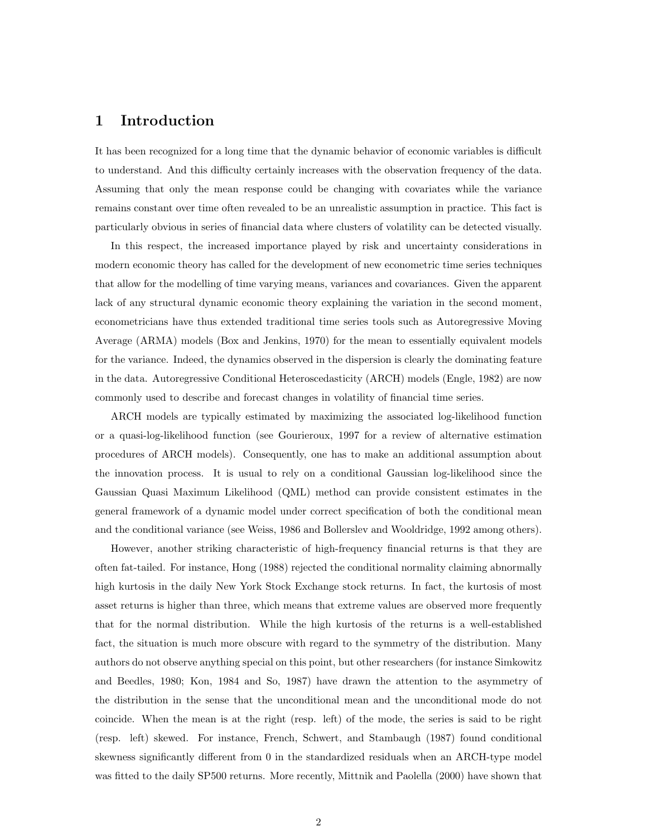# 1 Introduction

It has been recognized for a long time that the dynamic behavior of economic variables is difficult to understand. And this difficulty certainly increases with the observation frequency of the data. Assuming that only the mean response could be changing with covariates while the variance remains constant over time often revealed to be an unrealistic assumption in practice. This fact is particularly obvious in series of financial data where clusters of volatility can be detected visually.

In this respect, the increased importance played by risk and uncertainty considerations in modern economic theory has called for the development of new econometric time series techniques that allow for the modelling of time varying means, variances and covariances. Given the apparent lack of any structural dynamic economic theory explaining the variation in the second moment, econometricians have thus extended traditional time series tools such as Autoregressive Moving Average (ARMA) models (Box and Jenkins, 1970) for the mean to essentially equivalent models for the variance. Indeed, the dynamics observed in the dispersion is clearly the dominating feature in the data. Autoregressive Conditional Heteroscedasticity (ARCH) models (Engle, 1982) are now commonly used to describe and forecast changes in volatility of financial time series.

ARCH models are typically estimated by maximizing the associated log-likelihood function or a quasi-log-likelihood function (see Gourieroux, 1997 for a review of alternative estimation procedures of ARCH models). Consequently, one has to make an additional assumption about the innovation process. It is usual to rely on a conditional Gaussian log-likelihood since the Gaussian Quasi Maximum Likelihood (QML) method can provide consistent estimates in the general framework of a dynamic model under correct specification of both the conditional mean and the conditional variance (see Weiss, 1986 and Bollerslev and Wooldridge, 1992 among others).

However, another striking characteristic of high-frequency financial returns is that they are often fat-tailed. For instance, Hong (1988) rejected the conditional normality claiming abnormally high kurtosis in the daily New York Stock Exchange stock returns. In fact, the kurtosis of most asset returns is higher than three, which means that extreme values are observed more frequently that for the normal distribution. While the high kurtosis of the returns is a well-established fact, the situation is much more obscure with regard to the symmetry of the distribution. Many authors do not observe anything special on this point, but other researchers (for instance Simkowitz and Beedles, 1980; Kon, 1984 and So, 1987) have drawn the attention to the asymmetry of the distribution in the sense that the unconditional mean and the unconditional mode do not coincide. When the mean is at the right (resp. left) of the mode, the series is said to be right (resp. left) skewed. For instance, French, Schwert, and Stambaugh (1987) found conditional skewness significantly different from 0 in the standardized residuals when an ARCH-type model was fitted to the daily SP500 returns. More recently, Mittnik and Paolella (2000) have shown that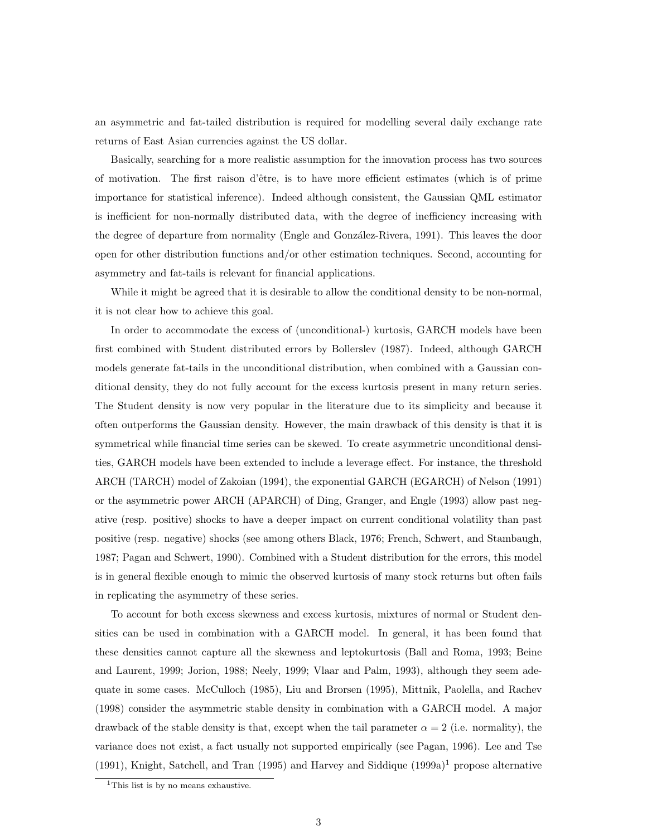an asymmetric and fat-tailed distribution is required for modelling several daily exchange rate returns of East Asian currencies against the US dollar.

Basically, searching for a more realistic assumption for the innovation process has two sources of motivation. The first raison d'ˆetre, is to have more efficient estimates (which is of prime importance for statistical inference). Indeed although consistent, the Gaussian QML estimator is inefficient for non-normally distributed data, with the degree of inefficiency increasing with the degree of departure from normality (Engle and González-Rivera, 1991). This leaves the door open for other distribution functions and/or other estimation techniques. Second, accounting for asymmetry and fat-tails is relevant for financial applications.

While it might be agreed that it is desirable to allow the conditional density to be non-normal, it is not clear how to achieve this goal.

In order to accommodate the excess of (unconditional-) kurtosis, GARCH models have been first combined with Student distributed errors by Bollerslev (1987). Indeed, although GARCH models generate fat-tails in the unconditional distribution, when combined with a Gaussian conditional density, they do not fully account for the excess kurtosis present in many return series. The Student density is now very popular in the literature due to its simplicity and because it often outperforms the Gaussian density. However, the main drawback of this density is that it is symmetrical while financial time series can be skewed. To create asymmetric unconditional densities, GARCH models have been extended to include a leverage effect. For instance, the threshold ARCH (TARCH) model of Zakoian (1994), the exponential GARCH (EGARCH) of Nelson (1991) or the asymmetric power ARCH (APARCH) of Ding, Granger, and Engle (1993) allow past negative (resp. positive) shocks to have a deeper impact on current conditional volatility than past positive (resp. negative) shocks (see among others Black, 1976; French, Schwert, and Stambaugh, 1987; Pagan and Schwert, 1990). Combined with a Student distribution for the errors, this model is in general flexible enough to mimic the observed kurtosis of many stock returns but often fails in replicating the asymmetry of these series.

To account for both excess skewness and excess kurtosis, mixtures of normal or Student densities can be used in combination with a GARCH model. In general, it has been found that these densities cannot capture all the skewness and leptokurtosis (Ball and Roma, 1993; Beine and Laurent, 1999; Jorion, 1988; Neely, 1999; Vlaar and Palm, 1993), although they seem adequate in some cases. McCulloch (1985), Liu and Brorsen (1995), Mittnik, Paolella, and Rachev (1998) consider the asymmetric stable density in combination with a GARCH model. A major drawback of the stable density is that, except when the tail parameter  $\alpha = 2$  (i.e. normality), the variance does not exist, a fact usually not supported empirically (see Pagan, 1996). Lee and Tse  $(1991)$ , Knight, Satchell, and Tran (1995) and Harvey and Siddique  $(1999a)^{1}$  propose alternative

<sup>&</sup>lt;sup>1</sup>This list is by no means exhaustive.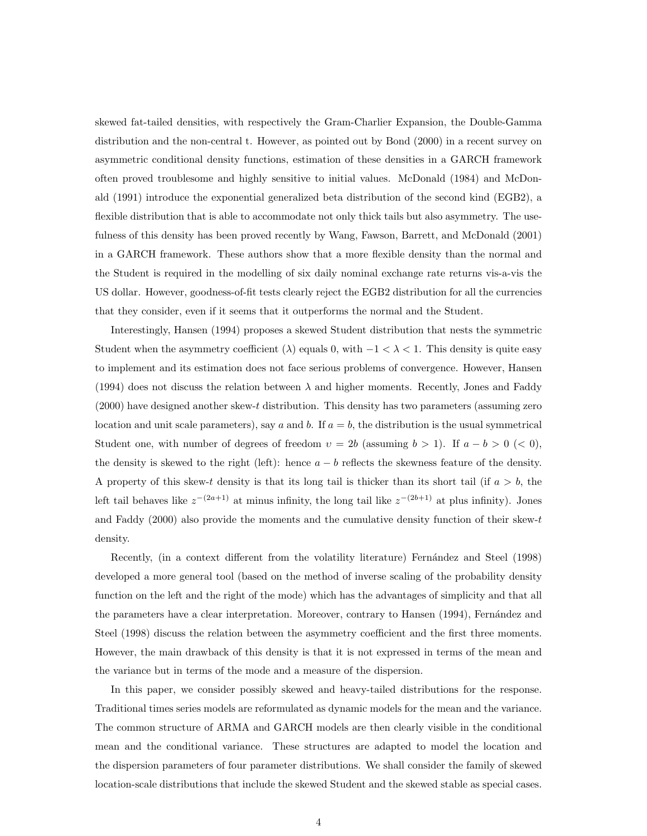skewed fat-tailed densities, with respectively the Gram-Charlier Expansion, the Double-Gamma distribution and the non-central t. However, as pointed out by Bond (2000) in a recent survey on asymmetric conditional density functions, estimation of these densities in a GARCH framework often proved troublesome and highly sensitive to initial values. McDonald (1984) and McDonald (1991) introduce the exponential generalized beta distribution of the second kind (EGB2), a flexible distribution that is able to accommodate not only thick tails but also asymmetry. The usefulness of this density has been proved recently by Wang, Fawson, Barrett, and McDonald (2001) in a GARCH framework. These authors show that a more flexible density than the normal and the Student is required in the modelling of six daily nominal exchange rate returns vis-a-vis the US dollar. However, goodness-of-fit tests clearly reject the EGB2 distribution for all the currencies that they consider, even if it seems that it outperforms the normal and the Student.

Interestingly, Hansen (1994) proposes a skewed Student distribution that nests the symmetric Student when the asymmetry coefficient ( $\lambda$ ) equals 0, with  $-1 < \lambda < 1$ . This density is quite easy to implement and its estimation does not face serious problems of convergence. However, Hansen (1994) does not discuss the relation between  $\lambda$  and higher moments. Recently, Jones and Faddy (2000) have designed another skew-t distribution. This density has two parameters (assuming zero location and unit scale parameters), say a and b. If  $a = b$ , the distribution is the usual symmetrical Student one, with number of degrees of freedom  $v = 2b$  (assuming  $b > 1$ ). If  $a - b > 0$  (< 0), the density is skewed to the right (left): hence  $a - b$  reflects the skewness feature of the density. A property of this skew-t density is that its long tail is thicker than its short tail (if  $a > b$ , the left tail behaves like  $z^{-(2a+1)}$  at minus infinity, the long tail like  $z^{-(2b+1)}$  at plus infinity). Jones and Faddy (2000) also provide the moments and the cumulative density function of their skew-t density.

Recently, (in a context different from the volatility literature) Fernández and Steel (1998) developed a more general tool (based on the method of inverse scaling of the probability density function on the left and the right of the mode) which has the advantages of simplicity and that all the parameters have a clear interpretation. Moreover, contrary to Hansen (1994), Fernández and Steel (1998) discuss the relation between the asymmetry coefficient and the first three moments. However, the main drawback of this density is that it is not expressed in terms of the mean and the variance but in terms of the mode and a measure of the dispersion.

In this paper, we consider possibly skewed and heavy-tailed distributions for the response. Traditional times series models are reformulated as dynamic models for the mean and the variance. The common structure of ARMA and GARCH models are then clearly visible in the conditional mean and the conditional variance. These structures are adapted to model the location and the dispersion parameters of four parameter distributions. We shall consider the family of skewed location-scale distributions that include the skewed Student and the skewed stable as special cases.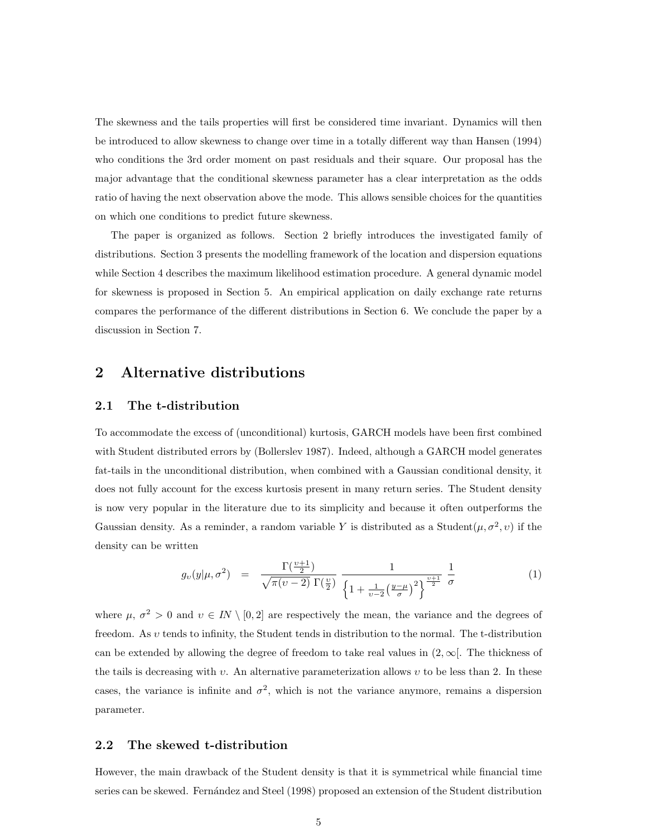The skewness and the tails properties will first be considered time invariant. Dynamics will then be introduced to allow skewness to change over time in a totally different way than Hansen (1994) who conditions the 3rd order moment on past residuals and their square. Our proposal has the major advantage that the conditional skewness parameter has a clear interpretation as the odds ratio of having the next observation above the mode. This allows sensible choices for the quantities on which one conditions to predict future skewness.

The paper is organized as follows. Section 2 briefly introduces the investigated family of distributions. Section 3 presents the modelling framework of the location and dispersion equations while Section 4 describes the maximum likelihood estimation procedure. A general dynamic model for skewness is proposed in Section 5. An empirical application on daily exchange rate returns compares the performance of the different distributions in Section 6. We conclude the paper by a discussion in Section 7.

# 2 Alternative distributions

#### 2.1 The t-distribution

To accommodate the excess of (unconditional) kurtosis, GARCH models have been first combined with Student distributed errors by (Bollerslev 1987). Indeed, although a GARCH model generates fat-tails in the unconditional distribution, when combined with a Gaussian conditional density, it does not fully account for the excess kurtosis present in many return series. The Student density is now very popular in the literature due to its simplicity and because it often outperforms the Gaussian density. As a reminder, a random variable Y is distributed as a Student $(\mu, \sigma^2, v)$  if the density can be written

$$
g_{\upsilon}(y|\mu,\sigma^2) = \frac{\Gamma(\frac{\upsilon+1}{2})}{\sqrt{\pi(\upsilon-2)}\,\Gamma(\frac{\upsilon}{2})} \frac{1}{\left\{1+\frac{1}{\upsilon-2}\left(\frac{y-\mu}{\sigma}\right)^2\right\}^{\frac{\upsilon+1}{2}}} \frac{1}{\sigma}
$$
(1)

where  $\mu$ ,  $\sigma^2 > 0$  and  $v \in IN \setminus [0, 2]$  are respectively the mean, the variance and the degrees of freedom. As  $v$  tends to infinity, the Student tends in distribution to the normal. The t-distribution can be extended by allowing the degree of freedom to take real values in  $(2,\infty)$ . The thickness of the tails is decreasing with v. An alternative parameterization allows v to be less than 2. In these cases, the variance is infinite and  $\sigma^2$ , which is not the variance anymore, remains a dispersion parameter.

#### 2.2 The skewed t-distribution

However, the main drawback of the Student density is that it is symmetrical while financial time series can be skewed. Fernández and Steel (1998) proposed an extension of the Student distribution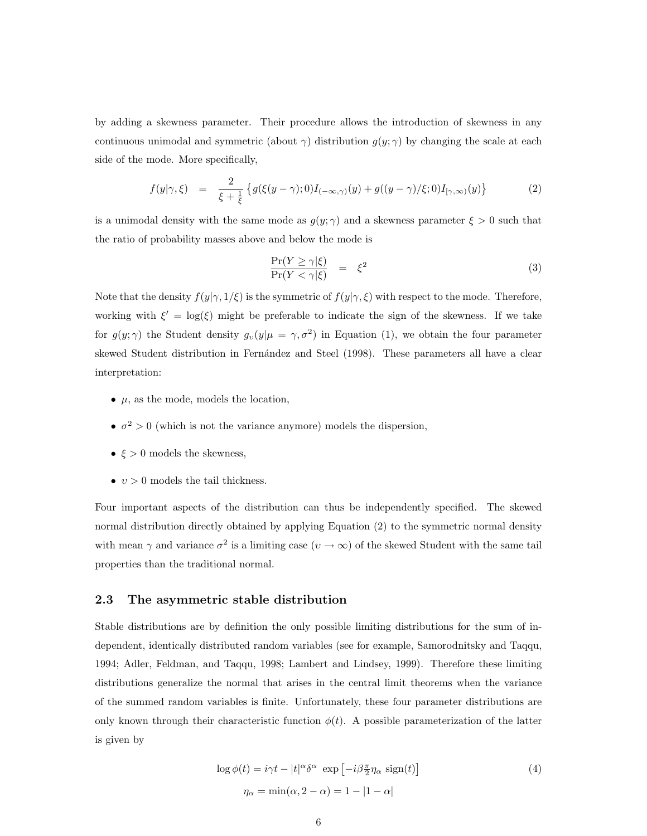by adding a skewness parameter. Their procedure allows the introduction of skewness in any continuous unimodal and symmetric (about  $\gamma$ ) distribution  $g(y; \gamma)$  by changing the scale at each side of the mode. More specifically,

$$
f(y|\gamma,\xi) = \frac{2}{\xi + \frac{1}{\xi}} \left\{ g(\xi(y-\gamma);0)I_{(-\infty,\gamma)}(y) + g((y-\gamma)/\xi;0)I_{[\gamma,\infty)}(y) \right\}
$$
(2)

is a unimodal density with the same mode as  $g(y; \gamma)$  and a skewness parameter  $\xi > 0$  such that the ratio of probability masses above and below the mode is

$$
\frac{\Pr(Y \ge \gamma | \xi)}{\Pr(Y < \gamma | \xi)} = \xi^2 \tag{3}
$$

Note that the density  $f(y|\gamma, 1/\xi)$  is the symmetric of  $f(y|\gamma, \xi)$  with respect to the mode. Therefore, working with  $\xi' = \log(\xi)$  might be preferable to indicate the sign of the skewness. If we take for  $g(y; \gamma)$  the Student density  $g_v(y|\mu = \gamma, \sigma^2)$  in Equation (1), we obtain the four parameter skewed Student distribution in Fernández and Steel (1998). These parameters all have a clear interpretation:

- $\mu$ , as the mode, models the location,
- $\bullet \ \sigma^2 > 0$  (which is not the variance anymore) models the dispersion,
- $\xi > 0$  models the skewness,
- $v > 0$  models the tail thickness.

Four important aspects of the distribution can thus be independently specified. The skewed normal distribution directly obtained by applying Equation (2) to the symmetric normal density with mean  $\gamma$  and variance  $\sigma^2$  is a limiting case  $(v \to \infty)$  of the skewed Student with the same tail properties than the traditional normal.

#### 2.3 The asymmetric stable distribution

Stable distributions are by definition the only possible limiting distributions for the sum of independent, identically distributed random variables (see for example, Samorodnitsky and Taqqu, 1994; Adler, Feldman, and Taqqu, 1998; Lambert and Lindsey, 1999). Therefore these limiting distributions generalize the normal that arises in the central limit theorems when the variance of the summed random variables is finite. Unfortunately, these four parameter distributions are only known through their characteristic function  $\phi(t)$ . A possible parameterization of the latter is given by

$$
\log \phi(t) = i\gamma t - |t|^{\alpha} \delta^{\alpha} \exp \left[ -i\beta \frac{\pi}{2} \eta_{\alpha} \operatorname{sign}(t) \right]
$$
  

$$
\eta_{\alpha} = \min(\alpha, 2 - \alpha) = 1 - |1 - \alpha|
$$
 (4)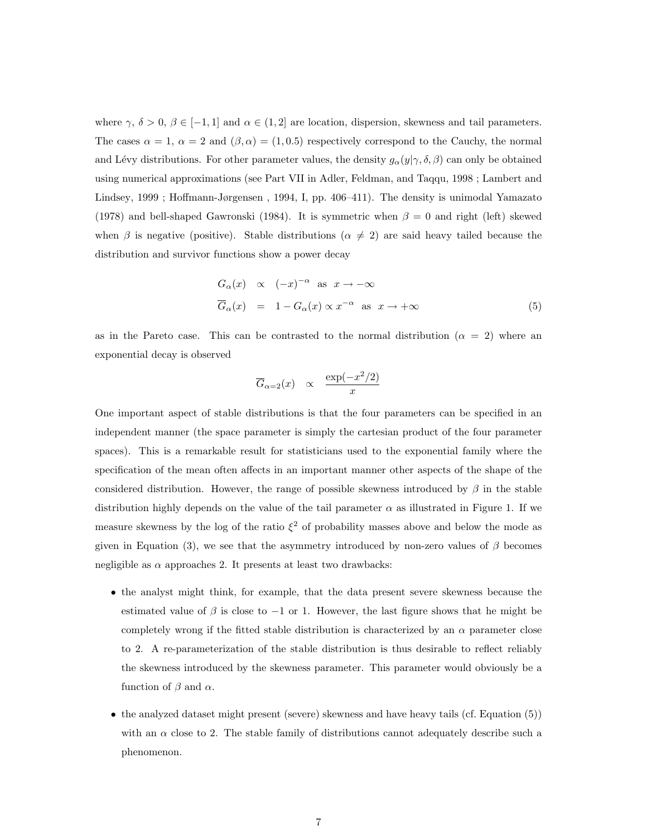where  $\gamma$ ,  $\delta > 0$ ,  $\beta \in [-1, 1]$  and  $\alpha \in (1, 2]$  are location, dispersion, skewness and tail parameters. The cases  $\alpha = 1$ ,  $\alpha = 2$  and  $(\beta, \alpha) = (1, 0.5)$  respectively correspond to the Cauchy, the normal and Lévy distributions. For other parameter values, the density  $g_{\alpha}(y|\gamma,\delta,\beta)$  can only be obtained using numerical approximations (see Part VII in Adler, Feldman, and Taqqu, 1998 ; Lambert and Lindsey, 1999 ; Hoffmann-Jørgensen , 1994, I, pp. 406–411). The density is unimodal Yamazato (1978) and bell-shaped Gawronski (1984). It is symmetric when  $\beta = 0$  and right (left) skewed when  $\beta$  is negative (positive). Stable distributions ( $\alpha \neq 2$ ) are said heavy tailed because the distribution and survivor functions show a power decay

$$
G_{\alpha}(x) \propto (-x)^{-\alpha} \text{ as } x \to -\infty
$$
  
\n
$$
\overline{G}_{\alpha}(x) = 1 - G_{\alpha}(x) \propto x^{-\alpha} \text{ as } x \to +\infty
$$
\n(5)

as in the Pareto case. This can be contrasted to the normal distribution  $(\alpha = 2)$  where an exponential decay is observed

$$
\overline{G}_{\alpha=2}(x) \propto \frac{\exp(-x^2/2)}{x}
$$

One important aspect of stable distributions is that the four parameters can be specified in an independent manner (the space parameter is simply the cartesian product of the four parameter spaces). This is a remarkable result for statisticians used to the exponential family where the specification of the mean often affects in an important manner other aspects of the shape of the considered distribution. However, the range of possible skewness introduced by  $\beta$  in the stable distribution highly depends on the value of the tail parameter  $\alpha$  as illustrated in Figure 1. If we measure skewness by the log of the ratio  $\xi^2$  of probability masses above and below the mode as given in Equation (3), we see that the asymmetry introduced by non-zero values of  $\beta$  becomes negligible as  $\alpha$  approaches 2. It presents at least two drawbacks:

- the analyst might think, for example, that the data present severe skewness because the estimated value of  $\beta$  is close to -1 or 1. However, the last figure shows that he might be completely wrong if the fitted stable distribution is characterized by an  $\alpha$  parameter close to 2. A re-parameterization of the stable distribution is thus desirable to reflect reliably the skewness introduced by the skewness parameter. This parameter would obviously be a function of  $\beta$  and  $\alpha$ .
- the analyzed dataset might present (severe) skewness and have heavy tails (cf. Equation (5)) with an  $\alpha$  close to 2. The stable family of distributions cannot adequately describe such a phenomenon.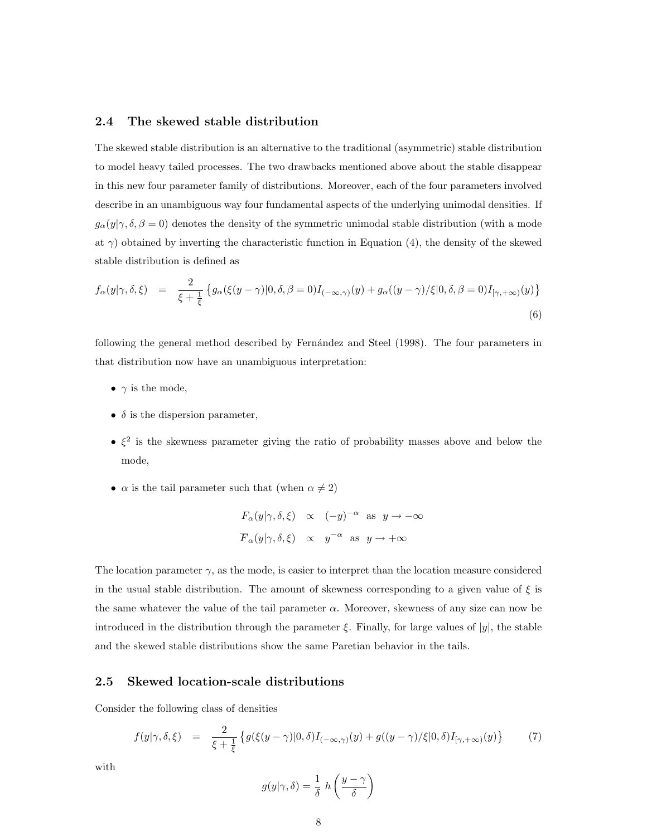#### 2.4 The skewed stable distribution

The skewed stable distribution is an alternative to the traditional (asymmetric) stable distribution to model heavy tailed processes. The two drawbacks mentioned above about the stable disappear in this new four parameter family of distributions. Moreover, each of the four parameters involved describe in an unambiguous way four fundamental aspects of the underlying unimodal densities. If  $g_{\alpha}(y|\gamma,\delta,\beta=0)$  denotes the density of the symmetric unimodal stable distribution (with a mode at  $\gamma$ ) obtained by inverting the characteristic function in Equation (4), the density of the skewed stable distribution is defined as

$$
f_{\alpha}(y|\gamma,\delta,\xi) = \frac{2}{\xi + \frac{1}{\xi}} \left\{ g_{\alpha}(\xi(y-\gamma)|0,\delta,\beta=0)I_{(-\infty,\gamma)}(y) + g_{\alpha}((y-\gamma)/\xi|0,\delta,\beta=0)I_{[\gamma,+\infty)}(y) \right\}
$$
(6)

following the general method described by Fernández and Steel (1998). The four parameters in that distribution now have an unambiguous interpretation:

- $\gamma$  is the mode,
- $\delta$  is the dispersion parameter,
- $\epsilon^2$  is the skewness parameter giving the ratio of probability masses above and below the mode,
- $\alpha$  is the tail parameter such that (when  $\alpha \neq 2$ )

$$
F_{\alpha}(y|\gamma, \delta, \xi) \propto (-y)^{-\alpha}
$$
 as  $y \to -\infty$   
 $\overline{F}_{\alpha}(y|\gamma, \delta, \xi) \propto y^{-\alpha}$  as  $y \to +\infty$ 

The location parameter  $\gamma$ , as the mode, is easier to interpret than the location measure considered in the usual stable distribution. The amount of skewness corresponding to a given value of  $\xi$  is the same whatever the value of the tail parameter  $\alpha$ . Moreover, skewness of any size can now be introduced in the distribution through the parameter  $\xi$ . Finally, for large values of |y|, the stable and the skewed stable distributions show the same Paretian behavior in the tails.

#### 2.5 Skewed location-scale distributions

Consider the following class of densities

$$
f(y|\gamma,\delta,\xi) = \frac{2}{\xi + \frac{1}{\xi}} \left\{ g(\xi(y-\gamma)|0,\delta)I_{(-\infty,\gamma)}(y) + g((y-\gamma)/\xi|0,\delta)I_{[\gamma,+\infty)}(y) \right\} \tag{7}
$$

with

$$
g(y|\gamma,\delta) = \frac{1}{\delta} h\left(\frac{y-\gamma}{\delta}\right)
$$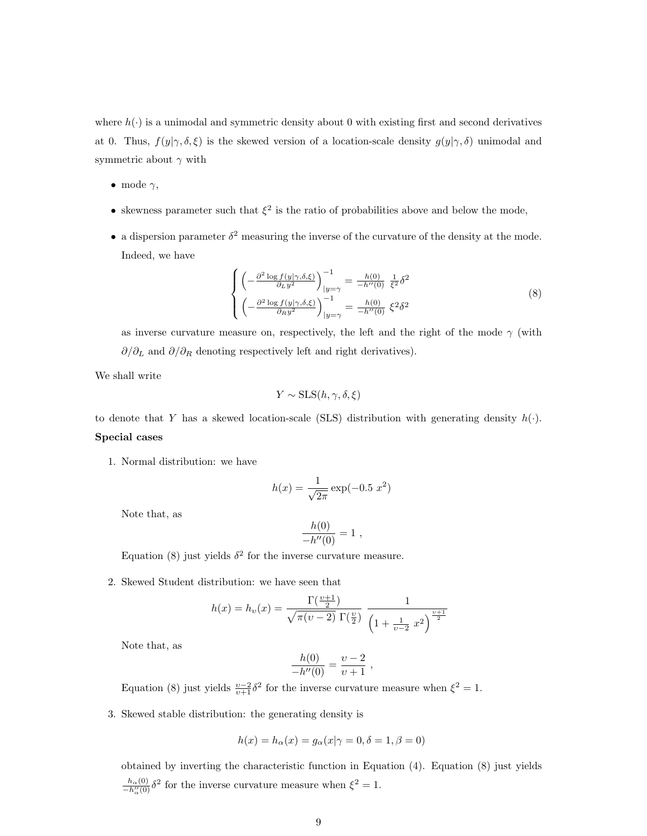where  $h(\cdot)$  is a unimodal and symmetric density about 0 with existing first and second derivatives at 0. Thus,  $f(y|\gamma,\delta,\xi)$  is the skewed version of a location-scale density  $g(y|\gamma,\delta)$  unimodal and symmetric about  $\gamma$  with

- mode  $\gamma$ ,
- skewness parameter such that  $\xi^2$  is the ratio of probabilities above and below the mode,
- a dispersion parameter  $\delta^2$  measuring the inverse of the curvature of the density at the mode. Indeed, we have

$$
\begin{cases}\n\left(-\frac{\partial^2 \log f(y|\gamma,\delta,\xi)}{\partial_L y^2}\right)^{-1}_{|y=\gamma} = \frac{h(0)}{-h''(0)} \frac{1}{\xi^2} \delta^2\\ \n\left(-\frac{\partial^2 \log f(y|\gamma,\delta,\xi)}{\partial_R y^2}\right)^{-1}_{|y=\gamma} = \frac{h(0)}{-h''(0)} \xi^2 \delta^2\n\end{cases} \tag{8}
$$

as inverse curvature measure on, respectively, the left and the right of the mode  $\gamma$  (with ∂/∂<sub>L</sub> and  $\partial/\partial_R$  denoting respectively left and right derivatives).

We shall write

$$
Y \sim \text{SLS}(h, \gamma, \delta, \xi)
$$

to denote that Y has a skewed location-scale (SLS) distribution with generating density  $h(\cdot)$ . Special cases

1. Normal distribution: we have

$$
h(x) = \frac{1}{\sqrt{2\pi}} \exp(-0.5 \ x^2)
$$

Note that, as

$$
\frac{h(0)}{-h''(0)} = 1 ,
$$

Equation (8) just yields  $\delta^2$  for the inverse curvature measure.

2. Skewed Student distribution: we have seen that

$$
h(x) = h_{\nu}(x) = \frac{\Gamma(\frac{\nu+1}{2})}{\sqrt{\pi(\nu-2)} \Gamma(\frac{\nu}{2})} \frac{1}{\left(1 + \frac{1}{\nu-2} x^2\right)^{\frac{\nu+1}{2}}}
$$

Note that, as

$$
\frac{h(0)}{-h''(0)} = \frac{v-2}{v+1} ,
$$

Equation (8) just yields  $\frac{v-2}{v+1}\delta^2$  for the inverse curvature measure when  $\xi^2 = 1$ .

3. Skewed stable distribution: the generating density is

$$
h(x) = h_{\alpha}(x) = g_{\alpha}(x | \gamma = 0, \delta = 1, \beta = 0)
$$

obtained by inverting the characteristic function in Equation (4). Equation (8) just yields  $\frac{h_{\alpha}(0)}{-h_{\alpha}^{\prime\prime}(0)}\delta^2$  for the inverse curvature measure when  $\xi^2=1$ .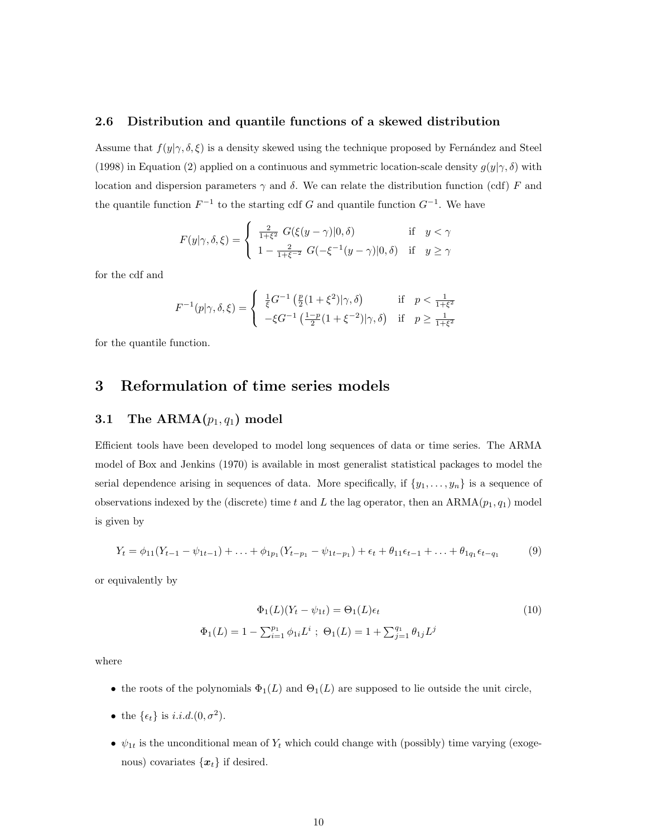#### 2.6 Distribution and quantile functions of a skewed distribution

Assume that  $f(y|\gamma, \delta, \xi)$  is a density skewed using the technique proposed by Fernández and Steel (1998) in Equation (2) applied on a continuous and symmetric location-scale density  $g(y|\gamma,\delta)$  with location and dispersion parameters  $\gamma$  and δ. We can relate the distribution function (cdf) F and the quantile function  $F^{-1}$  to the starting cdf G and quantile function  $G^{-1}$ . We have

$$
F(y|\gamma,\delta,\xi) = \begin{cases} \frac{2}{1+\xi^2} G(\xi(y-\gamma)|0,\delta) & \text{if } y < \gamma \\ 1 - \frac{2}{1+\xi^{-2}} G(-\xi^{-1}(y-\gamma)|0,\delta) & \text{if } y \ge \gamma \end{cases}
$$

for the cdf and

$$
F^{-1}(p|\gamma,\delta,\xi) = \begin{cases} \frac{1}{\xi}G^{-1}\left(\frac{p}{2}(1+\xi^2)|\gamma,\delta\right) & \text{if } p < \frac{1}{1+\xi^2} \\ -\xi G^{-1}\left(\frac{1-p}{2}(1+\xi^{-2})|\gamma,\delta\right) & \text{if } p \ge \frac{1}{1+\xi^2} \end{cases}
$$

for the quantile function.

# 3 Reformulation of time series models

# 3.1 The  $\text{ARMA}(p_1, q_1)$  model

Efficient tools have been developed to model long sequences of data or time series. The ARMA model of Box and Jenkins (1970) is available in most generalist statistical packages to model the serial dependence arising in sequences of data. More specifically, if  $\{y_1, \ldots, y_n\}$  is a sequence of observations indexed by the (discrete) time t and L the lag operator, then an  $ARMA(p_1, q_1)$  model is given by

$$
Y_t = \phi_{11}(Y_{t-1} - \psi_{1t-1}) + \ldots + \phi_{1p_1}(Y_{t-p_1} - \psi_{1t-p_1}) + \epsilon_t + \theta_{11}\epsilon_{t-1} + \ldots + \theta_{1q_1}\epsilon_{t-q_1} \tag{9}
$$

or equivalently by

$$
\Phi_1(L)(Y_t - \psi_{1t}) = \Theta_1(L)\epsilon_t
$$
\n
$$
\Phi_1(L) = 1 - \sum_{i=1}^{p_1} \phi_{1i} L^i \; ; \; \Theta_1(L) = 1 + \sum_{j=1}^{q_1} \theta_{1j} L^j
$$
\n(10)

where

- the roots of the polynomials  $\Phi_1(L)$  and  $\Theta_1(L)$  are supposed to lie outside the unit circle,
- the  $\{\epsilon_t\}$  is *i.i.d.*(0,  $\sigma^2$ ).
- $\psi_{1t}$  is the unconditional mean of  $Y_t$  which could change with (possibly) time varying (exogenous) covariates  $\{x_t\}$  if desired.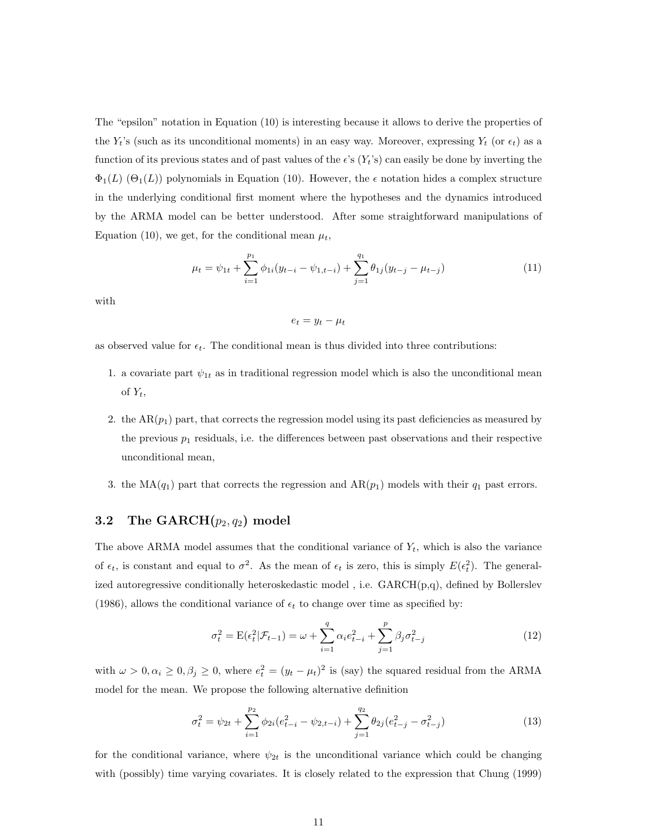The "epsilon" notation in Equation (10) is interesting because it allows to derive the properties of the  $Y_t$ 's (such as its unconditional moments) in an easy way. Moreover, expressing  $Y_t$  (or  $\epsilon_t$ ) as a function of its previous states and of past values of the  $\epsilon$ 's  $(Y_t)$ 's) can easily be done by inverting the  $\Phi_1(L)$  ( $\Theta_1(L)$ ) polynomials in Equation (10). However, the  $\epsilon$  notation hides a complex structure in the underlying conditional first moment where the hypotheses and the dynamics introduced by the ARMA model can be better understood. After some straightforward manipulations of Equation (10), we get, for the conditional mean  $\mu_t$ ,

$$
\mu_t = \psi_{1t} + \sum_{i=1}^{p_1} \phi_{1i}(y_{t-i} - \psi_{1,t-i}) + \sum_{j=1}^{q_1} \theta_{1j}(y_{t-j} - \mu_{t-j})
$$
\n(11)

with

 $e_t = y_t - \mu_t$ 

as observed value for  $\epsilon_t$ . The conditional mean is thus divided into three contributions:

- 1. a covariate part  $\psi_{1t}$  as in traditional regression model which is also the unconditional mean of  $Y_t$ ,
- 2. the  $AR(p_1)$  part, that corrects the regression model using its past deficiencies as measured by the previous  $p_1$  residuals, i.e. the differences between past observations and their respective unconditional mean,
- 3. the MA( $q_1$ ) part that corrects the regression and AR( $p_1$ ) models with their  $q_1$  past errors.

# 3.2 The  $\mathrm{GARCH}(p_2,q_2)$  model

The above ARMA model assumes that the conditional variance of  $Y_t$ , which is also the variance of  $\epsilon_t$ , is constant and equal to  $\sigma^2$ . As the mean of  $\epsilon_t$  is zero, this is simply  $E(\epsilon_t^2)$ . The generalized autoregressive conditionally heteroskedastic model , i.e. GARCH(p,q), defined by Bollerslev (1986), allows the conditional variance of  $\epsilon_t$  to change over time as specified by:

$$
\sigma_t^2 = E(\epsilon_t^2 | \mathcal{F}_{t-1}) = \omega + \sum_{i=1}^q \alpha_i e_{t-i}^2 + \sum_{j=1}^p \beta_j \sigma_{t-j}^2
$$
\n(12)

with  $\omega > 0, \alpha_i \geq 0, \beta_j \geq 0$ , where  $e_t^2 = (y_t - \mu_t)^2$  is (say) the squared residual from the ARMA model for the mean. We propose the following alternative definition

$$
\sigma_t^2 = \psi_{2t} + \sum_{i=1}^{p_2} \phi_{2i} (e_{t-i}^2 - \psi_{2,t-i}) + \sum_{j=1}^{q_2} \theta_{2j} (e_{t-j}^2 - \sigma_{t-j}^2)
$$
\n(13)

for the conditional variance, where  $\psi_{2t}$  is the unconditional variance which could be changing with (possibly) time varying covariates. It is closely related to the expression that Chung (1999)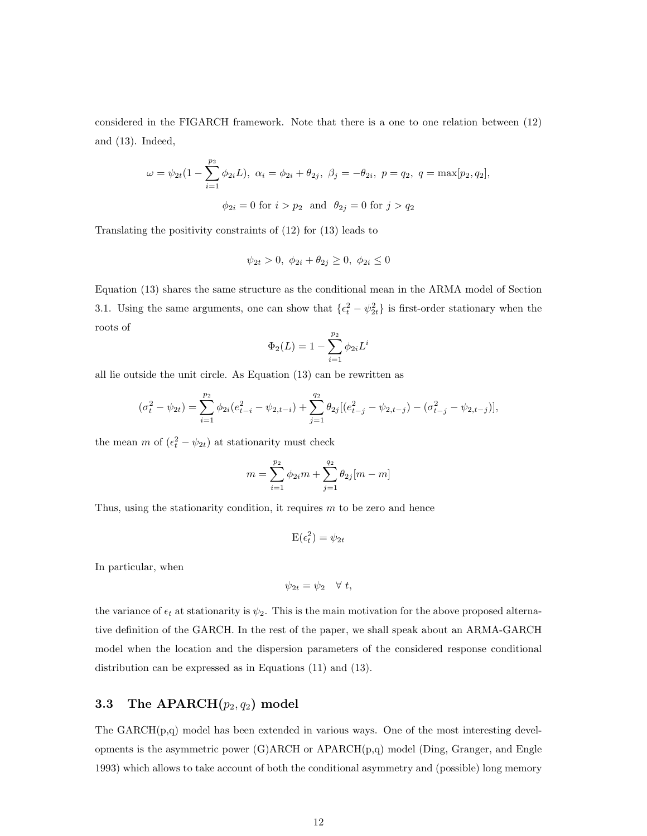considered in the FIGARCH framework. Note that there is a one to one relation between (12) and (13). Indeed,

$$
\omega = \psi_{2t}(1 - \sum_{i=1}^{p_2} \phi_{2i}L), \ \alpha_i = \phi_{2i} + \theta_{2j}, \ \beta_j = -\theta_{2i}, \ p = q_2, \ q = \max[p_2, q_2],
$$

$$
\phi_{2i} = 0 \text{ for } i > p_2 \text{ and } \theta_{2j} = 0 \text{ for } j > q_2
$$

Translating the positivity constraints of (12) for (13) leads to

$$
\psi_{2t} > 0, \ \phi_{2i} + \theta_{2j} \ge 0, \ \phi_{2i} \le 0
$$

Equation (13) shares the same structure as the conditional mean in the ARMA model of Section 3.1. Using the same arguments, one can show that  $\{\epsilon_t^2 - \psi_{2t}^2\}$  is first-order stationary when the roots of

$$
\Phi_2(L) = 1 - \sum_{i=1}^{p_2} \phi_{2i} L^i
$$

all lie outside the unit circle. As Equation (13) can be rewritten as

$$
(\sigma_t^2 - \psi_{2t}) = \sum_{i=1}^{p_2} \phi_{2i} (e_{t-i}^2 - \psi_{2,t-i}) + \sum_{j=1}^{q_2} \theta_{2j} [(e_{t-j}^2 - \psi_{2,t-j}) - (\sigma_{t-j}^2 - \psi_{2,t-j})],
$$

the mean  $m$  of  $(\epsilon_t^2 - \psi_{2t})$  at stationarity must check

$$
m = \sum_{i=1}^{p_2} \phi_{2i} m + \sum_{j=1}^{q_2} \theta_{2j} [m - m]
$$

Thus, using the stationarity condition, it requires  $m$  to be zero and hence

$$
\mathrm{E}(\epsilon_t^2)=\psi_{2t}
$$

In particular, when

$$
\psi_{2t} = \psi_2 \quad \forall \ t,
$$

the variance of  $\epsilon_t$  at stationarity is  $\psi_2$ . This is the main motivation for the above proposed alternative definition of the GARCH. In the rest of the paper, we shall speak about an ARMA-GARCH model when the location and the dispersion parameters of the considered response conditional distribution can be expressed as in Equations (11) and (13).

# 3.3 The  $APARCH(p_2, q_2)$  model

The GARCH(p,q) model has been extended in various ways. One of the most interesting developments is the asymmetric power (G)ARCH or APARCH(p,q) model (Ding, Granger, and Engle 1993) which allows to take account of both the conditional asymmetry and (possible) long memory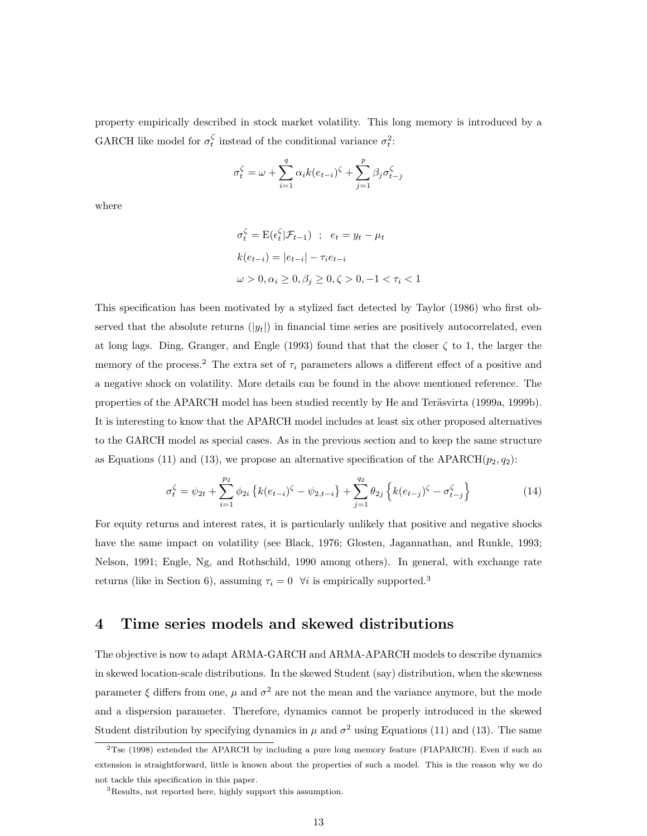property empirically described in stock market volatility. This long memory is introduced by a GARCH like model for  $\sigma_t^{\zeta}$  instead of the conditional variance  $\sigma_t^2$ :

$$
\sigma_t^{\zeta} = \omega + \sum_{i=1}^q \alpha_i k(e_{t-i})^{\zeta} + \sum_{j=1}^p \beta_j \sigma_{t-j}^{\zeta}
$$

where

$$
\sigma_t^{\zeta} = \mathcal{E}(\epsilon_t^{\zeta} | \mathcal{F}_{t-1}) \; ; \; e_t = y_t - \mu_t
$$

$$
k(e_{t-i}) = |e_{t-i}| - \tau_i e_{t-i}
$$

$$
\omega > 0, \alpha_i \ge 0, \beta_j \ge 0, \zeta > 0, -1 < \tau_i < 1
$$

This specification has been motivated by a stylized fact detected by Taylor (1986) who first observed that the absolute returns  $(|y_t|)$  in financial time series are positively autocorrelated, even at long lags. Ding, Granger, and Engle (1993) found that that the closer  $\zeta$  to 1, the larger the memory of the process.<sup>2</sup> The extra set of  $\tau_i$  parameters allows a different effect of a positive and a negative shock on volatility. More details can be found in the above mentioned reference. The properties of the APARCH model has been studied recently by He and Teräsvirta (1999a, 1999b). It is interesting to know that the APARCH model includes at least six other proposed alternatives to the GARCH model as special cases. As in the previous section and to keep the same structure as Equations (11) and (13), we propose an alternative specification of the APARCH( $p_2, q_2$ ):

$$
\sigma_t^{\zeta} = \psi_{2t} + \sum_{i=1}^{p_2} \phi_{2i} \left\{ k(e_{t-i})^{\zeta} - \psi_{2,t-i} \right\} + \sum_{j=1}^{q_2} \theta_{2j} \left\{ k(e_{t-j})^{\zeta} - \sigma_{t-j}^{\zeta} \right\}
$$
(14)

For equity returns and interest rates, it is particularly unlikely that positive and negative shocks have the same impact on volatility (see Black, 1976; Glosten, Jagannathan, and Runkle, 1993; Nelson, 1991; Engle, Ng, and Rothschild, 1990 among others). In general, with exchange rate returns (like in Section 6), assuming  $\tau_i = 0$   $\forall i$  is empirically supported.<sup>3</sup>

# 4 Time series models and skewed distributions

The objective is now to adapt ARMA-GARCH and ARMA-APARCH models to describe dynamics in skewed location-scale distributions. In the skewed Student (say) distribution, when the skewness parameter  $\xi$  differs from one,  $\mu$  and  $\sigma^2$  are not the mean and the variance anymore, but the mode and a dispersion parameter. Therefore, dynamics cannot be properly introduced in the skewed Student distribution by specifying dynamics in  $\mu$  and  $\sigma^2$  using Equations (11) and (13). The same

<sup>2</sup>Tse (1998) extended the APARCH by including a pure long memory feature (FIAPARCH). Even if such an extension is straightforward, little is known about the properties of such a model. This is the reason why we do not tackle this specification in this paper.

<sup>3</sup>Results, not reported here, highly support this assumption.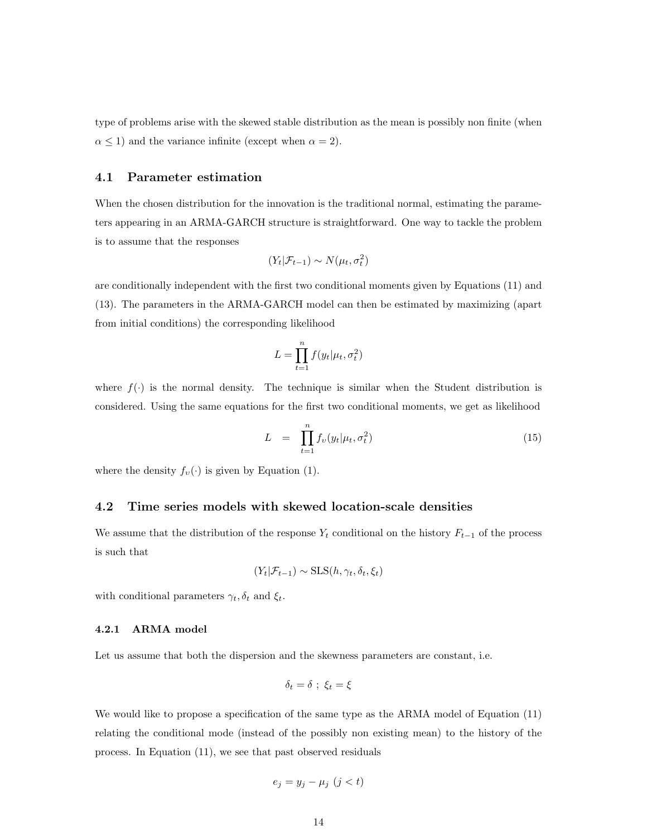type of problems arise with the skewed stable distribution as the mean is possibly non finite (when  $\alpha \leq 1$ ) and the variance infinite (except when  $\alpha = 2$ ).

#### 4.1 Parameter estimation

When the chosen distribution for the innovation is the traditional normal, estimating the parameters appearing in an ARMA-GARCH structure is straightforward. One way to tackle the problem is to assume that the responses

$$
(Y_t|\mathcal{F}_{t-1}) \sim N(\mu_t, \sigma_t^2)
$$

are conditionally independent with the first two conditional moments given by Equations (11) and (13). The parameters in the ARMA-GARCH model can then be estimated by maximizing (apart from initial conditions) the corresponding likelihood

$$
L = \prod_{t=1}^{n} f(y_t | \mu_t, \sigma_t^2)
$$

where  $f(\cdot)$  is the normal density. The technique is similar when the Student distribution is considered. Using the same equations for the first two conditional moments, we get as likelihood

$$
L = \prod_{t=1}^{n} f_v(y_t | \mu_t, \sigma_t^2)
$$
\n(15)

where the density  $f_v(\cdot)$  is given by Equation (1).

#### 4.2 Time series models with skewed location-scale densities

We assume that the distribution of the response  $Y_t$  conditional on the history  $F_{t-1}$  of the process is such that

$$
(Y_t | \mathcal{F}_{t-1}) \sim \text{SLS}(h, \gamma_t, \delta_t, \xi_t)
$$

with conditional parameters  $\gamma_t, \delta_t$  and  $\xi_t$ .

#### 4.2.1 ARMA model

Let us assume that both the dispersion and the skewness parameters are constant, i.e.

$$
\delta_t = \delta \; ; \; \xi_t = \xi
$$

We would like to propose a specification of the same type as the ARMA model of Equation (11) relating the conditional mode (instead of the possibly non existing mean) to the history of the process. In Equation (11), we see that past observed residuals

$$
e_j = y_j - \mu_j \ (j < t)
$$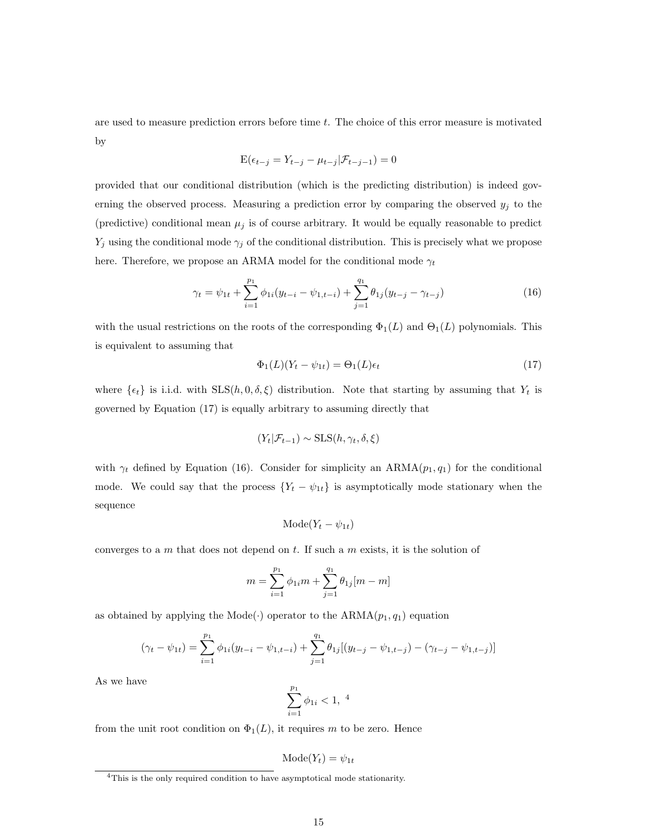are used to measure prediction errors before time t. The choice of this error measure is motivated by

$$
E(\epsilon_{t-j} = Y_{t-j} - \mu_{t-j}|\mathcal{F}_{t-j-1}) = 0
$$

provided that our conditional distribution (which is the predicting distribution) is indeed governing the observed process. Measuring a prediction error by comparing the observed  $y_j$  to the (predictive) conditional mean  $\mu_j$  is of course arbitrary. It would be equally reasonable to predict  $Y_j$  using the conditional mode  $\gamma_j$  of the conditional distribution. This is precisely what we propose here. Therefore, we propose an ARMA model for the conditional mode  $\gamma_t$ 

$$
\gamma_t = \psi_{1t} + \sum_{i=1}^{p_1} \phi_{1i}(y_{t-i} - \psi_{1,t-i}) + \sum_{j=1}^{q_1} \theta_{1j}(y_{t-j} - \gamma_{t-j})
$$
(16)

with the usual restrictions on the roots of the corresponding  $\Phi_1(L)$  and  $\Theta_1(L)$  polynomials. This is equivalent to assuming that

$$
\Phi_1(L)(Y_t - \psi_{1t}) = \Theta_1(L)\epsilon_t \tag{17}
$$

where  $\{\epsilon_t\}$  is i.i.d. with  $SLS(h, 0, \delta, \xi)$  distribution. Note that starting by assuming that  $Y_t$  is governed by Equation (17) is equally arbitrary to assuming directly that

$$
(Y_t | \mathcal{F}_{t-1}) \sim \text{SLS}(h, \gamma_t, \delta, \xi)
$$

with  $\gamma_t$  defined by Equation (16). Consider for simplicity an ARMA $(p_1, q_1)$  for the conditional mode. We could say that the process  ${Y_t - \psi_{1t}}$  is asymptotically mode stationary when the sequence

$$
Mode(Y_t - \psi_{1t})
$$

converges to a  $m$  that does not depend on  $t$ . If such a  $m$  exists, it is the solution of

$$
m = \sum_{i=1}^{p_1} \phi_{1i} m + \sum_{j=1}^{q_1} \theta_{1j} [m - m]
$$

as obtained by applying the Mode( $\cdot$ ) operator to the ARMA( $p_1, q_1$ ) equation

$$
(\gamma_t - \psi_{1t}) = \sum_{i=1}^{p_1} \phi_{1i}(y_{t-i} - \psi_{1,t-i}) + \sum_{j=1}^{q_1} \theta_{1j}[(y_{t-j} - \psi_{1,t-j}) - (\gamma_{t-j} - \psi_{1,t-j})]
$$

As we have

$$
\sum_{i=1}^{p_1} \phi_{1i} < 1, \; 4
$$

from the unit root condition on  $\Phi_1(L)$ , it requires m to be zero. Hence

$$
Mode(Y_t) = \psi_{1t}
$$

<sup>4</sup>This is the only required condition to have asymptotical mode stationarity.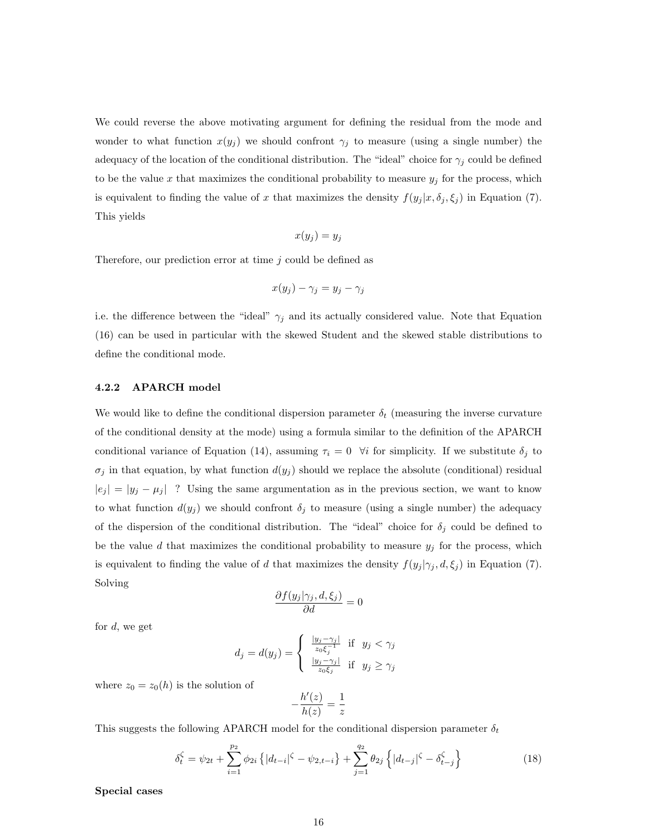We could reverse the above motivating argument for defining the residual from the mode and wonder to what function  $x(y_j)$  we should confront  $\gamma_j$  to measure (using a single number) the adequacy of the location of the conditional distribution. The "ideal" choice for  $\gamma_j$  could be defined to be the value x that maximizes the conditional probability to measure  $y_j$  for the process, which is equivalent to finding the value of x that maximizes the density  $f(y_j | x, \delta_j, \xi_j)$  in Equation (7). This yields

$$
x(y_j) = y_j
$$

Therefore, our prediction error at time  $j$  could be defined as

$$
x(y_j) - \gamma_j = y_j - \gamma_j
$$

i.e. the difference between the "ideal"  $\gamma_j$  and its actually considered value. Note that Equation (16) can be used in particular with the skewed Student and the skewed stable distributions to define the conditional mode.

#### 4.2.2 APARCH model

We would like to define the conditional dispersion parameter  $\delta_t$  (measuring the inverse curvature of the conditional density at the mode) using a formula similar to the definition of the APARCH conditional variance of Equation (14), assuming  $\tau_i = 0$   $\forall i$  for simplicity. If we substitute  $\delta_j$  to  $\sigma_j$  in that equation, by what function  $d(y_j)$  should we replace the absolute (conditional) residual  $|e_j| = |y_j - \mu_j|$  ? Using the same argumentation as in the previous section, we want to know to what function  $d(y_j)$  we should confront  $\delta_j$  to measure (using a single number) the adequacy of the dispersion of the conditional distribution. The "ideal" choice for  $\delta_j$  could be defined to be the value d that maximizes the conditional probability to measure  $y_j$  for the process, which is equivalent to finding the value of d that maximizes the density  $f(y_j | \gamma_j, d, \xi_j)$  in Equation (7). Solving

$$
\frac{\partial f(y_j|\gamma_j, d, \xi_j)}{\partial d} = 0
$$

for  $d$ , we get

$$
d_j = d(y_j) = \begin{cases} \frac{|y_j - \gamma_j|}{z_0 \xi_j^{-1}} & \text{if } y_j < \gamma_j\\ \frac{|y_j - \gamma_j|}{z_0 \xi_j} & \text{if } y_j \ge \gamma_j \end{cases}
$$

where  $z_0 = z_0(h)$  is the solution of

$$
-\frac{h'(z)}{h(z)} = \frac{1}{z}
$$

This suggests the following APARCH model for the conditional dispersion parameter  $\delta_t$ 

$$
\delta_t^{\zeta} = \psi_{2t} + \sum_{i=1}^{p_2} \phi_{2i} \left\{ |d_{t-i}|^{\zeta} - \psi_{2,t-i} \right\} + \sum_{j=1}^{q_2} \theta_{2j} \left\{ |d_{t-j}|^{\zeta} - \delta_{t-j}^{\zeta} \right\} \tag{18}
$$

Special cases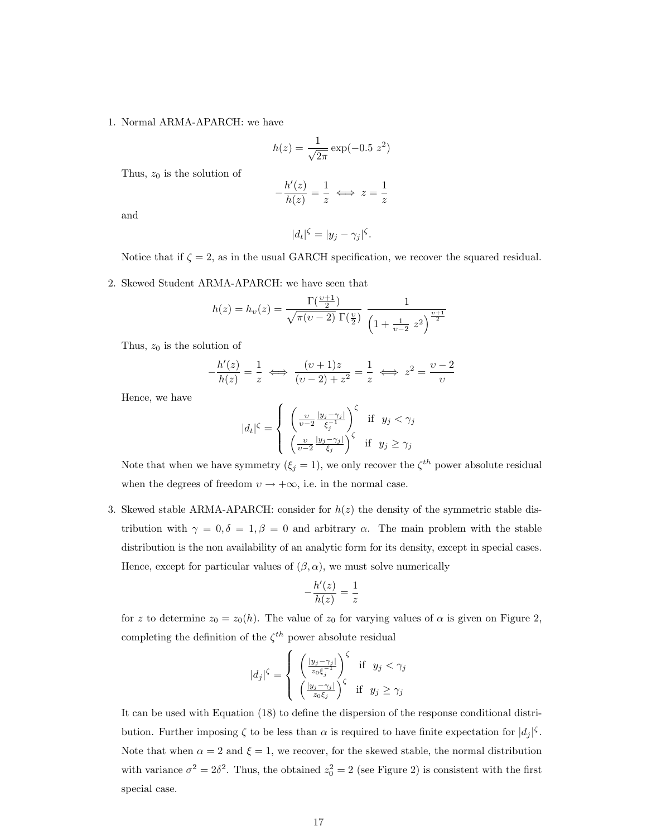#### 1. Normal ARMA-APARCH: we have

$$
h(z) = \frac{1}{\sqrt{2\pi}} \exp(-0.5 \ z^2)
$$

Thus,  $z_0$  is the solution of

$$
-\frac{h'(z)}{h(z)} = \frac{1}{z} \iff z = \frac{1}{z}
$$

and

$$
|d_t|^{\zeta} = |y_j - \gamma_j|^{\zeta}.
$$

Notice that if  $\zeta = 2$ , as in the usual GARCH specification, we recover the squared residual.

2. Skewed Student ARMA-APARCH: we have seen that

$$
h(z) = h_{\upsilon}(z) = \frac{\Gamma(\frac{\upsilon + 1}{2})}{\sqrt{\pi(\upsilon - 2)} \Gamma(\frac{\upsilon}{2})} \frac{1}{\left(1 + \frac{1}{\upsilon - 2} z^2\right)^{\frac{\upsilon + 1}{2}}}
$$

Thus,  $z_0$  is the solution of

$$
-\frac{h'(z)}{h(z)} = \frac{1}{z} \iff \frac{(v+1)z}{(v-2) + z^2} = \frac{1}{z} \iff z^2 = \frac{v-2}{v}
$$

Hence, we have

$$
|d_t|^{\zeta} = \begin{cases} \left(\frac{\upsilon}{\upsilon - 2} \frac{|y_j - \gamma_j|}{\xi_j^{-1}}\right)^{\zeta} & \text{if } y_j < \gamma_j\\ \left(\frac{\upsilon}{\upsilon - 2} \frac{|y_j - \gamma_j|}{\xi_j}\right)^{\zeta} & \text{if } y_j \ge \gamma_j \end{cases}
$$

Note that when we have symmetry  $(\xi_j = 1)$ , we only recover the  $\zeta^{th}$  power absolute residual when the degrees of freedom  $v \to +\infty$ , i.e. in the normal case.

3. Skewed stable ARMA-APARCH: consider for  $h(z)$  the density of the symmetric stable distribution with  $\gamma = 0, \delta = 1, \beta = 0$  and arbitrary  $\alpha$ . The main problem with the stable distribution is the non availability of an analytic form for its density, except in special cases. Hence, except for particular values of  $(\beta, \alpha)$ , we must solve numerically

$$
-\frac{h'(z)}{h(z)}=\frac{1}{z}
$$

for z to determine  $z_0 = z_0(h)$ . The value of  $z_0$  for varying values of  $\alpha$  is given on Figure 2, completing the definition of the  $\zeta^{th}$  power absolute residual

$$
|d_j|^{\zeta} = \begin{cases} \left(\frac{|y_j - \gamma_j|}{z_0 \xi_j^{-1}}\right)^{\zeta} & \text{if } y_j < \gamma_j\\ \left(\frac{|y_j - \gamma_j|}{z_0 \xi_j}\right)^{\zeta} & \text{if } y_j \ge \gamma_j \end{cases}
$$

It can be used with Equation (18) to define the dispersion of the response conditional distribution. Further imposing  $\zeta$  to be less than  $\alpha$  is required to have finite expectation for  $|d_j|^{\zeta}$ . Note that when  $\alpha = 2$  and  $\xi = 1$ , we recover, for the skewed stable, the normal distribution with variance  $\sigma^2 = 2\delta^2$ . Thus, the obtained  $z_0^2 = 2$  (see Figure 2) is consistent with the first special case.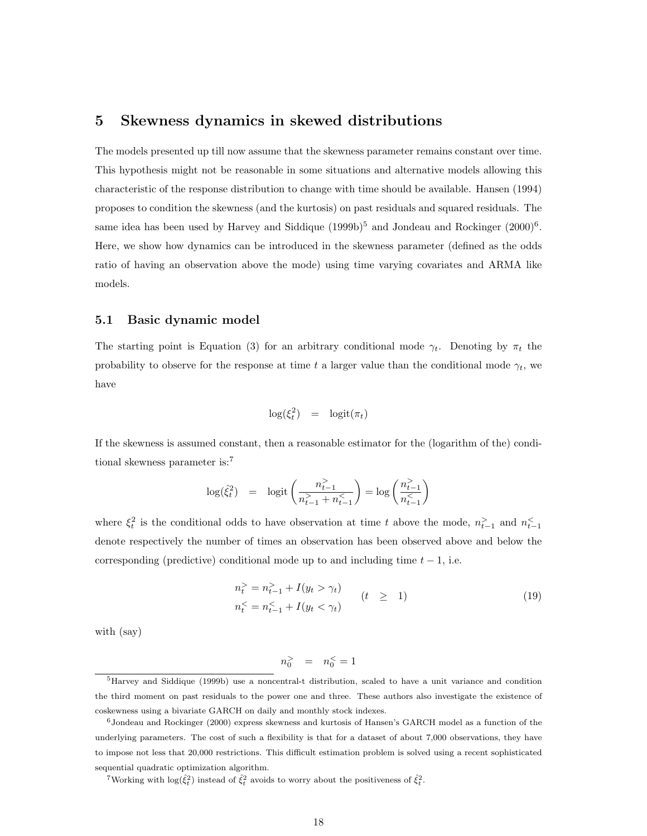### 5 Skewness dynamics in skewed distributions

The models presented up till now assume that the skewness parameter remains constant over time. This hypothesis might not be reasonable in some situations and alternative models allowing this characteristic of the response distribution to change with time should be available. Hansen (1994) proposes to condition the skewness (and the kurtosis) on past residuals and squared residuals. The same idea has been used by Harvey and Siddique  $(1999b)^5$  and Jondeau and Rockinger  $(2000)^6$ . Here, we show how dynamics can be introduced in the skewness parameter (defined as the odds ratio of having an observation above the mode) using time varying covariates and ARMA like models.

#### 5.1 Basic dynamic model

The starting point is Equation (3) for an arbitrary conditional mode  $\gamma_t$ . Denoting by  $\pi_t$  the probability to observe for the response at time t a larger value than the conditional mode  $\gamma_t$ , we have

$$
\log(\xi_t^2) = \logit(\pi_t)
$$

If the skewness is assumed constant, then a reasonable estimator for the (logarithm of the) conditional skewness parameter is:<sup>7</sup>

$$
\log(\hat{\xi}_t^2) = \logit\left(\frac{n_{t-1}^>}{n_{t-1}^> + n_{t-1}^<}\right) = \log\left(\frac{n_{t-1}^>}{n_{t-1}^<}\right)
$$

where  $\xi_t^2$  is the conditional odds to have observation at time t above the mode,  $n_{t-1}^>$  and  $n_{t-1}^<$ denote respectively the number of times an observation has been observed above and below the corresponding (predictive) conditional mode up to and including time  $t - 1$ , i.e.

$$
n_t^> = n_{t-1}^> + I(y_t > \gamma_t)
$$
  
\n
$$
n_t^< = n_{t-1}^< + I(y_t < \gamma_t)
$$
 (19)

with (say)

$$
n_0^> \quad = \quad n_0^< = 1
$$

<sup>5</sup>Harvey and Siddique (1999b) use a noncentral-t distribution, scaled to have a unit variance and condition the third moment on past residuals to the power one and three. These authors also investigate the existence of coskewness using a bivariate GARCH on daily and monthly stock indexes.

 $6$ Jondeau and Rockinger (2000) express skewness and kurtosis of Hansen's GARCH model as a function of the underlying parameters. The cost of such a flexibility is that for a dataset of about 7,000 observations, they have to impose not less that 20,000 restrictions. This difficult estimation problem is solved using a recent sophisticated sequential quadratic optimization algorithm.

<sup>&</sup>lt;sup>7</sup>Working with  $\log(\hat{\xi}_t^2)$  instead of  $\hat{\xi}_t^2$  avoids to worry about the positiveness of  $\hat{\xi}_t^2$ .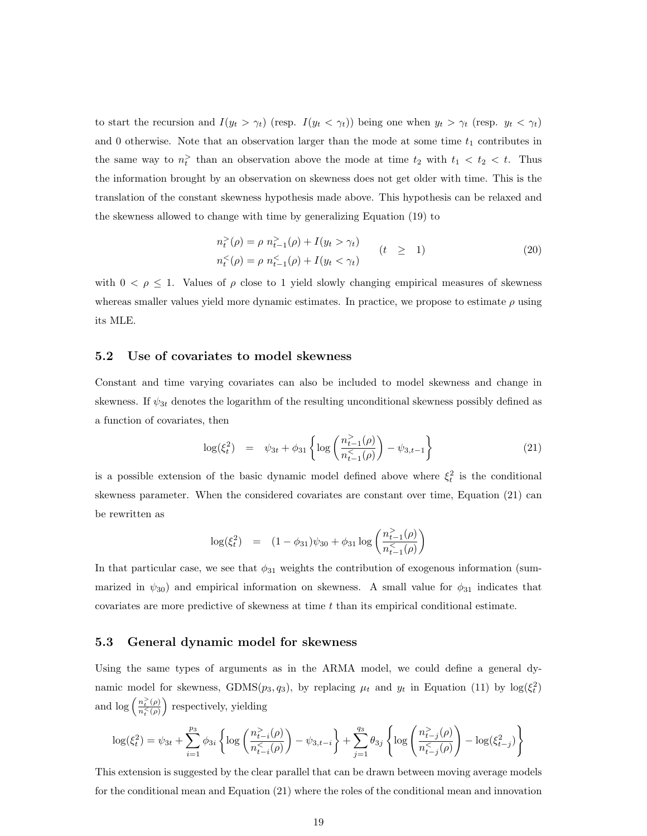to start the recursion and  $I(y_t > \gamma_t)$  (resp.  $I(y_t < \gamma_t)$ ) being one when  $y_t > \gamma_t$  (resp.  $y_t < \gamma_t$ ) and 0 otherwise. Note that an observation larger than the mode at some time  $t_1$  contributes in the same way to  $n_t$ <sup>></sup> than an observation above the mode at time  $t_2$  with  $t_1 < t_2 < t$ . Thus the information brought by an observation on skewness does not get older with time. This is the translation of the constant skewness hypothesis made above. This hypothesis can be relaxed and the skewness allowed to change with time by generalizing Equation (19) to

$$
n_t^>(\rho) = \rho \ n_{t-1}^>(\rho) + I(y_t > \gamma_t) \nn_t^<(\rho) = \rho \ n_{t-1}^>(\rho) + I(y_t < \gamma_t)
$$
\n(20)

with  $0 < \rho \leq 1$ . Values of  $\rho$  close to 1 yield slowly changing empirical measures of skewness whereas smaller values yield more dynamic estimates. In practice, we propose to estimate  $\rho$  using its MLE.

#### 5.2 Use of covariates to model skewness

Constant and time varying covariates can also be included to model skewness and change in skewness. If  $\psi_{3t}$  denotes the logarithm of the resulting unconditional skewness possibly defined as a function of covariates, then

$$
\log(\xi_t^2) = \psi_{3t} + \phi_{31} \left\{ \log \left( \frac{n_{t-1}^>(\rho)}{n_{t-1}^(<\rho)} \right) - \psi_{3,t-1} \right\} \tag{21}
$$

is a possible extension of the basic dynamic model defined above where  $\xi_t^2$  is the conditional skewness parameter. When the considered covariates are constant over time, Equation (21) can be rewritten as

$$
\log(\xi_t^2) = (1 - \phi_{31})\psi_{30} + \phi_{31} \log\left(\frac{n_{t-1}^>(\rho)}{n_{t-1}^(<\rho)}\right)
$$

In that particular case, we see that  $\phi_{31}$  weights the contribution of exogenous information (summarized in  $\psi_{30}$  and empirical information on skewness. A small value for  $\phi_{31}$  indicates that covariates are more predictive of skewness at time  $t$  than its empirical conditional estimate.

#### 5.3 General dynamic model for skewness

Using the same types of arguments as in the ARMA model, we could define a general dynamic model for skewness, GDMS( $p_3, q_3$ ), by replacing  $\mu_t$  and  $y_t$  in Equation (11) by  $\log(\xi_t^2)$ and  $\log\left(\frac{n_t^>(\rho)}{n^<(s)}\right)$  $\frac{n_t(\rho)}{n_t<\rho}$  respectively, yielding

$$
\log(\xi_t^2) = \psi_{3t} + \sum_{i=1}^{p_3} \phi_{3i} \left\{ \log \left( \frac{n_{t-i}^>(\rho)}{n_{t-i}^(<\rho)} \right) - \psi_{3,t-i} \right\} + \sum_{j=1}^{q_3} \theta_{3j} \left\{ \log \left( \frac{n_{t-j}^>(\rho)}{n_{t-j}^(<\rho)} \right) - \log(\xi_{t-j}^2) \right\}
$$

This extension is suggested by the clear parallel that can be drawn between moving average models for the conditional mean and Equation (21) where the roles of the conditional mean and innovation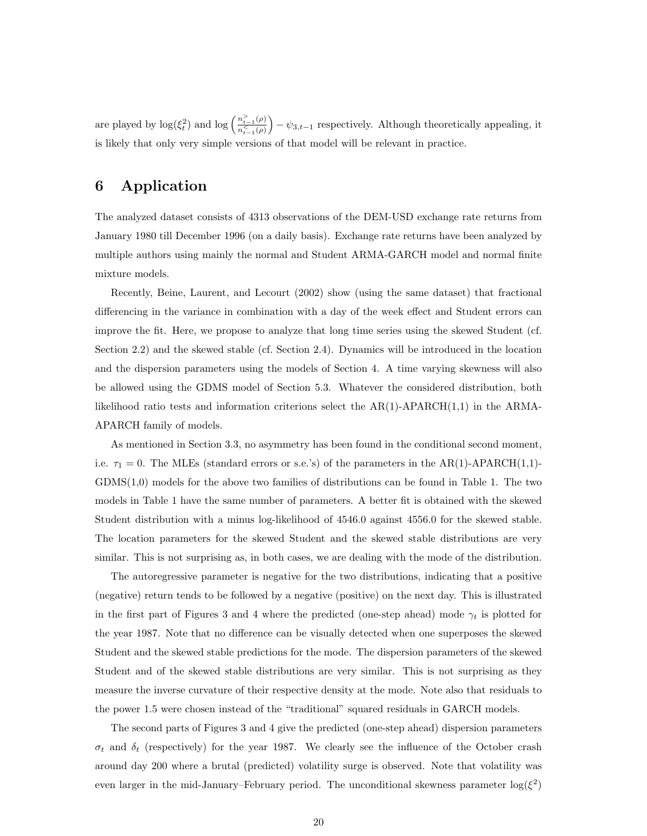are played by  $\log(\xi_t^2)$  and  $\log\left(\frac{n_{t-1}^>(\rho)}{n^<_{(t-1)}(\rho)}\right)$  $\overline{n_{t-1}^{\langle\rangle}(\rho)}$ ´  $-\psi_{3,t-1}$  respectively. Although theoretically appealing, it is likely that only very simple versions of that model will be relevant in practice.

# 6 Application

The analyzed dataset consists of 4313 observations of the DEM-USD exchange rate returns from January 1980 till December 1996 (on a daily basis). Exchange rate returns have been analyzed by multiple authors using mainly the normal and Student ARMA-GARCH model and normal finite mixture models.

Recently, Beine, Laurent, and Lecourt (2002) show (using the same dataset) that fractional differencing in the variance in combination with a day of the week effect and Student errors can improve the fit. Here, we propose to analyze that long time series using the skewed Student (cf. Section 2.2) and the skewed stable (cf. Section 2.4). Dynamics will be introduced in the location and the dispersion parameters using the models of Section 4. A time varying skewness will also be allowed using the GDMS model of Section 5.3. Whatever the considered distribution, both likelihood ratio tests and information criterions select the  $AR(1)$ -APARCH $(1,1)$  in the ARMA-APARCH family of models.

As mentioned in Section 3.3, no asymmetry has been found in the conditional second moment, i.e.  $\tau_1 = 0$ . The MLEs (standard errors or s.e.'s) of the parameters in the AR(1)-APARCH(1,1)-GDMS(1,0) models for the above two families of distributions can be found in Table 1. The two models in Table 1 have the same number of parameters. A better fit is obtained with the skewed Student distribution with a minus log-likelihood of 4546.0 against 4556.0 for the skewed stable. The location parameters for the skewed Student and the skewed stable distributions are very similar. This is not surprising as, in both cases, we are dealing with the mode of the distribution.

The autoregressive parameter is negative for the two distributions, indicating that a positive (negative) return tends to be followed by a negative (positive) on the next day. This is illustrated in the first part of Figures 3 and 4 where the predicted (one-step ahead) mode  $\gamma_t$  is plotted for the year 1987. Note that no difference can be visually detected when one superposes the skewed Student and the skewed stable predictions for the mode. The dispersion parameters of the skewed Student and of the skewed stable distributions are very similar. This is not surprising as they measure the inverse curvature of their respective density at the mode. Note also that residuals to the power 1.5 were chosen instead of the "traditional" squared residuals in GARCH models.

The second parts of Figures 3 and 4 give the predicted (one-step ahead) dispersion parameters  $\sigma_t$  and  $\delta_t$  (respectively) for the year 1987. We clearly see the influence of the October crash around day 200 where a brutal (predicted) volatility surge is observed. Note that volatility was even larger in the mid-January–February period. The unconditional skewness parameter  $log(\xi^2)$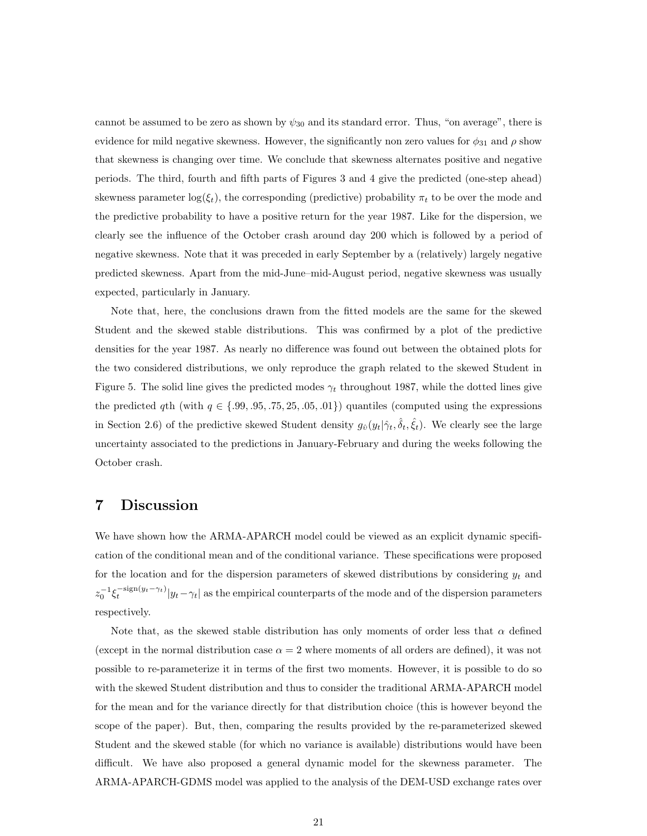cannot be assumed to be zero as shown by  $\psi_{30}$  and its standard error. Thus, "on average", there is evidence for mild negative skewness. However, the significantly non zero values for  $\phi_{31}$  and  $\rho$  show that skewness is changing over time. We conclude that skewness alternates positive and negative periods. The third, fourth and fifth parts of Figures 3 and 4 give the predicted (one-step ahead) skewness parameter  $\log(\xi_t)$ , the corresponding (predictive) probability  $\pi_t$  to be over the mode and the predictive probability to have a positive return for the year 1987. Like for the dispersion, we clearly see the influence of the October crash around day 200 which is followed by a period of negative skewness. Note that it was preceded in early September by a (relatively) largely negative predicted skewness. Apart from the mid-June–mid-August period, negative skewness was usually expected, particularly in January.

Note that, here, the conclusions drawn from the fitted models are the same for the skewed Student and the skewed stable distributions. This was confirmed by a plot of the predictive densities for the year 1987. As nearly no difference was found out between the obtained plots for the two considered distributions, we only reproduce the graph related to the skewed Student in Figure 5. The solid line gives the predicted modes  $\gamma_t$  throughout 1987, while the dotted lines give the predicted qth (with  $q \in \{.99, .95, .75, 25, .05, .01\}$ ) quantiles (computed using the expressions in Section 2.6) of the predictive skewed Student density  $g_{\hat{v}}(y_t|\hat{\gamma}_t, \hat{\delta}_t, \hat{\xi}_t)$ . We clearly see the large uncertainty associated to the predictions in January-February and during the weeks following the October crash.

## 7 Discussion

We have shown how the ARMA-APARCH model could be viewed as an explicit dynamic specification of the conditional mean and of the conditional variance. These specifications were proposed for the location and for the dispersion parameters of skewed distributions by considering  $y_t$  and  $z_0^{-1}\xi_t^{-\text{sign}(y_t-\gamma_t)}|y_t-\gamma_t|$  as the empirical counterparts of the mode and of the dispersion parameters respectively.

Note that, as the skewed stable distribution has only moments of order less that  $\alpha$  defined (except in the normal distribution case  $\alpha = 2$  where moments of all orders are defined), it was not possible to re-parameterize it in terms of the first two moments. However, it is possible to do so with the skewed Student distribution and thus to consider the traditional ARMA-APARCH model for the mean and for the variance directly for that distribution choice (this is however beyond the scope of the paper). But, then, comparing the results provided by the re-parameterized skewed Student and the skewed stable (for which no variance is available) distributions would have been difficult. We have also proposed a general dynamic model for the skewness parameter. The ARMA-APARCH-GDMS model was applied to the analysis of the DEM-USD exchange rates over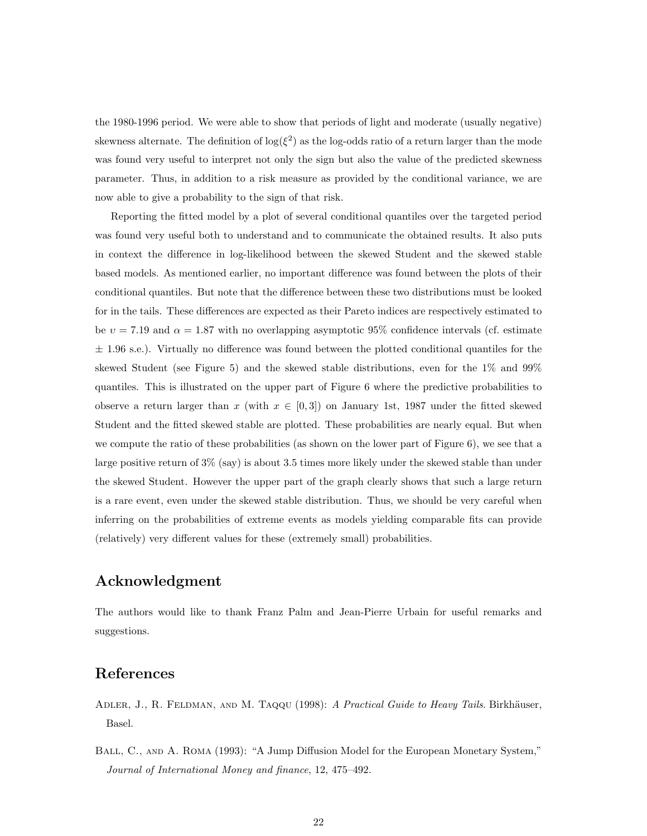the 1980-1996 period. We were able to show that periods of light and moderate (usually negative) skewness alternate. The definition of  $\log(\xi^2)$  as the log-odds ratio of a return larger than the mode was found very useful to interpret not only the sign but also the value of the predicted skewness parameter. Thus, in addition to a risk measure as provided by the conditional variance, we are now able to give a probability to the sign of that risk.

Reporting the fitted model by a plot of several conditional quantiles over the targeted period was found very useful both to understand and to communicate the obtained results. It also puts in context the difference in log-likelihood between the skewed Student and the skewed stable based models. As mentioned earlier, no important difference was found between the plots of their conditional quantiles. But note that the difference between these two distributions must be looked for in the tails. These differences are expected as their Pareto indices are respectively estimated to be  $v = 7.19$  and  $\alpha = 1.87$  with no overlapping asymptotic 95% confidence intervals (cf. estimate  $\pm$  1.96 s.e.). Virtually no difference was found between the plotted conditional quantiles for the skewed Student (see Figure 5) and the skewed stable distributions, even for the 1% and 99% quantiles. This is illustrated on the upper part of Figure 6 where the predictive probabilities to observe a return larger than x (with  $x \in [0,3]$ ) on January 1st, 1987 under the fitted skewed Student and the fitted skewed stable are plotted. These probabilities are nearly equal. But when we compute the ratio of these probabilities (as shown on the lower part of Figure 6), we see that a large positive return of  $3\%$  (say) is about 3.5 times more likely under the skewed stable than under the skewed Student. However the upper part of the graph clearly shows that such a large return is a rare event, even under the skewed stable distribution. Thus, we should be very careful when inferring on the probabilities of extreme events as models yielding comparable fits can provide (relatively) very different values for these (extremely small) probabilities.

# Acknowledgment

The authors would like to thank Franz Palm and Jean-Pierre Urbain for useful remarks and suggestions.

# References

- ADLER, J., R. FELDMAN, AND M. TAQQU (1998): A Practical Guide to Heavy Tails. Birkhäuser, Basel.
- BALL, C., AND A. ROMA (1993): "A Jump Diffusion Model for the European Monetary System," Journal of International Money and finance, 12, 475–492.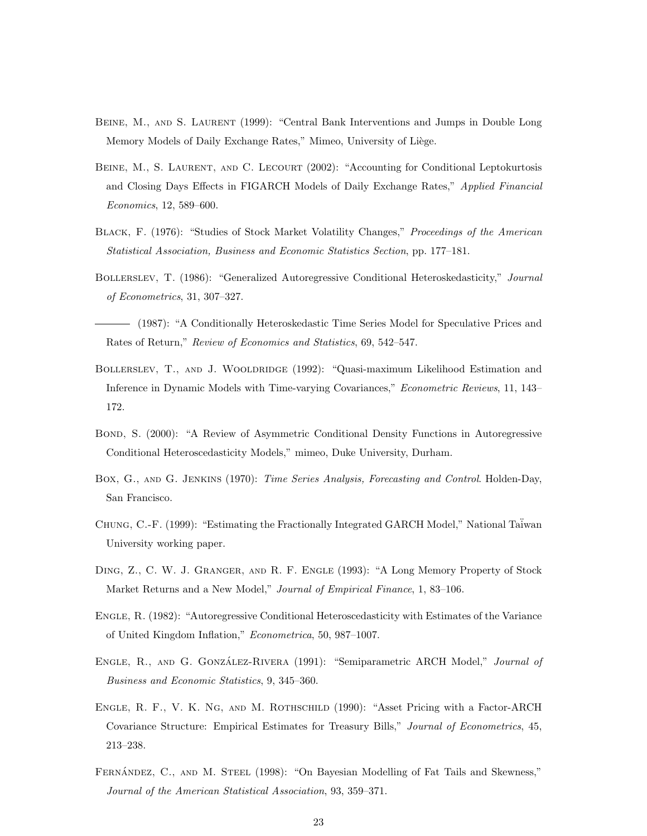- Beine, M., and S. Laurent (1999): "Central Bank Interventions and Jumps in Double Long Memory Models of Daily Exchange Rates," Mimeo, University of Liège.
- BEINE, M., S. LAURENT, AND C. LECOURT (2002): "Accounting for Conditional Leptokurtosis and Closing Days Effects in FIGARCH Models of Daily Exchange Rates," Applied Financial Economics, 12, 589–600.
- BLACK, F. (1976): "Studies of Stock Market Volatility Changes," Proceedings of the American Statistical Association, Business and Economic Statistics Section, pp. 177–181.
- BOLLERSLEV, T. (1986): "Generalized Autoregressive Conditional Heteroskedasticity," Journal of Econometrics, 31, 307–327.
- (1987): "A Conditionally Heteroskedastic Time Series Model for Speculative Prices and Rates of Return," Review of Economics and Statistics, 69, 542–547.
- Bollerslev, T., and J. Wooldridge (1992): "Quasi-maximum Likelihood Estimation and Inference in Dynamic Models with Time-varying Covariances," Econometric Reviews, 11, 143– 172.
- BOND, S. (2000): "A Review of Asymmetric Conditional Density Functions in Autoregressive Conditional Heteroscedasticity Models," mimeo, Duke University, Durham.
- Box, G., and G. Jenkins (1970): Time Series Analysis, Forecasting and Control. Holden-Day, San Francisco.
- CHUNG, C.-F. (1999): "Estimating the Fractionally Integrated GARCH Model," National Taiwan University working paper.
- Ding, Z., C. W. J. Granger, and R. F. Engle (1993): "A Long Memory Property of Stock Market Returns and a New Model," Journal of Empirical Finance, 1, 83–106.
- Engle, R. (1982): "Autoregressive Conditional Heteroscedasticity with Estimates of the Variance of United Kingdom Inflation," Econometrica, 50, 987–1007.
- ENGLE, R., AND G. GONZÁLEZ-RIVERA (1991): "Semiparametric ARCH Model," Journal of Business and Economic Statistics, 9, 345–360.
- Engle, R. F., V. K. Ng, and M. Rothschild (1990): "Asset Pricing with a Factor-ARCH Covariance Structure: Empirical Estimates for Treasury Bills," Journal of Econometrics, 45, 213–238.
- FERNANDEZ, C., AND M. STEEL (1998): "On Bayesian Modelling of Fat Tails and Skewness," Journal of the American Statistical Association, 93, 359–371.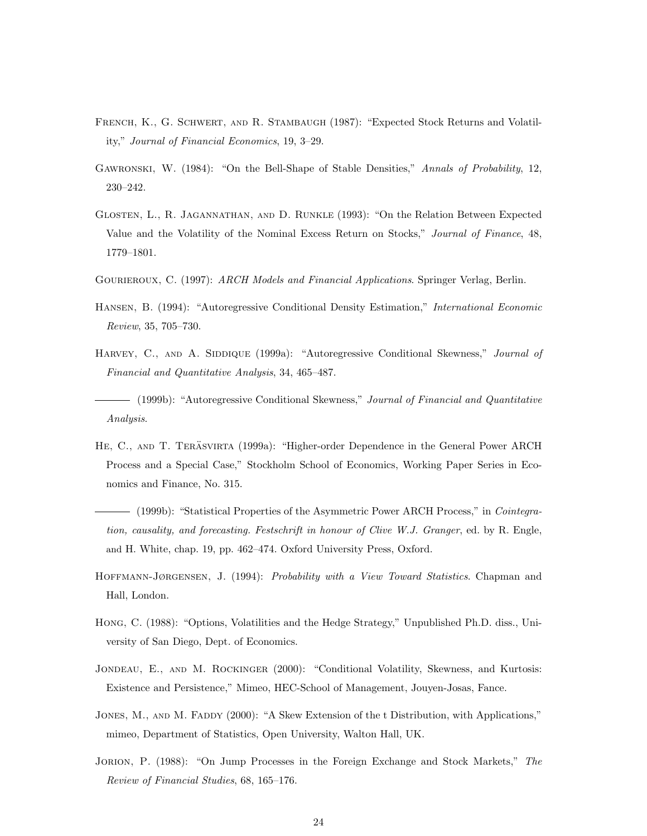- French, K., G. Schwert, and R. Stambaugh (1987): "Expected Stock Returns and Volatility," Journal of Financial Economics, 19, 3–29.
- Gawronski, W. (1984): "On the Bell-Shape of Stable Densities," Annals of Probability, 12, 230–242.
- Glosten, L., R. Jagannathan, and D. Runkle (1993): "On the Relation Between Expected Value and the Volatility of the Nominal Excess Return on Stocks," Journal of Finance, 48, 1779–1801.
- GOURIEROUX, C. (1997): ARCH Models and Financial Applications. Springer Verlag, Berlin.
- Hansen, B. (1994): "Autoregressive Conditional Density Estimation," International Economic Review, 35, 705–730.
- HARVEY, C., AND A. SIDDIQUE (1999a): "Autoregressive Conditional Skewness," Journal of Financial and Quantitative Analysis, 34, 465–487.
- $-$  (1999b): "Autoregressive Conditional Skewness," Journal of Financial and Quantitative Analysis.
- HE, C., AND T. TERÄSVIRTA (1999a): "Higher-order Dependence in the General Power ARCH Process and a Special Case," Stockholm School of Economics, Working Paper Series in Economics and Finance, No. 315.
- (1999b): "Statistical Properties of the Asymmetric Power ARCH Process," in Cointegration, causality, and forecasting. Festschrift in honour of Clive W.J. Granger, ed. by R. Engle, and H. White, chap. 19, pp. 462–474. Oxford University Press, Oxford.
- HOFFMANN-JØRGENSEN, J. (1994): *Probability with a View Toward Statistics*. Chapman and Hall, London.
- Hong, C. (1988): "Options, Volatilities and the Hedge Strategy," Unpublished Ph.D. diss., University of San Diego, Dept. of Economics.
- JONDEAU, E., AND M. ROCKINGER (2000): "Conditional Volatility, Skewness, and Kurtosis: Existence and Persistence," Mimeo, HEC-School of Management, Jouyen-Josas, Fance.
- JONES, M., AND M. FADDY (2000): "A Skew Extension of the t Distribution, with Applications," mimeo, Department of Statistics, Open University, Walton Hall, UK.
- Jorion, P. (1988): "On Jump Processes in the Foreign Exchange and Stock Markets," The Review of Financial Studies, 68, 165–176.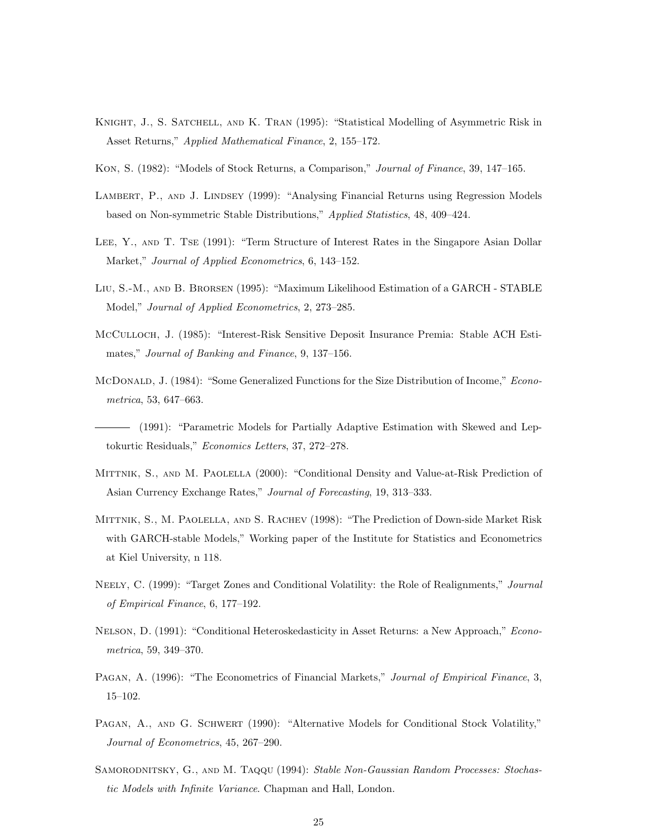- KNIGHT, J., S. SATCHELL, AND K. TRAN (1995): "Statistical Modelling of Asymmetric Risk in Asset Returns," Applied Mathematical Finance, 2, 155–172.
- Kon, S. (1982): "Models of Stock Returns, a Comparison," Journal of Finance, 39, 147–165.
- LAMBERT, P., AND J. LINDSEY (1999): "Analysing Financial Returns using Regression Models based on Non-symmetric Stable Distributions," Applied Statistics, 48, 409–424.
- Lee, Y., and T. Tse (1991): "Term Structure of Interest Rates in the Singapore Asian Dollar Market," Journal of Applied Econometrics, 6, 143–152.
- Liu, S.-M., and B. Brorsen (1995): "Maximum Likelihood Estimation of a GARCH STABLE Model," Journal of Applied Econometrics, 2, 273–285.
- McCulloch, J. (1985): "Interest-Risk Sensitive Deposit Insurance Premia: Stable ACH Estimates," Journal of Banking and Finance, 9, 137–156.
- McDonald, J. (1984): "Some Generalized Functions for the Size Distribution of Income," Econometrica, 53, 647–663.
- (1991): "Parametric Models for Partially Adaptive Estimation with Skewed and Leptokurtic Residuals," Economics Letters, 37, 272–278.
- Mittnik, S., and M. Paolella (2000): "Conditional Density and Value-at-Risk Prediction of Asian Currency Exchange Rates," Journal of Forecasting, 19, 313–333.
- Mittnik, S., M. Paolella, and S. Rachev (1998): "The Prediction of Down-side Market Risk with GARCH-stable Models," Working paper of the Institute for Statistics and Econometrics at Kiel University, n 118.
- NEELY, C. (1999): "Target Zones and Conditional Volatility: the Role of Realignments," Journal of Empirical Finance, 6, 177–192.
- NELSON, D. (1991): "Conditional Heteroskedasticity in Asset Returns: a New Approach," Econometrica, 59, 349–370.
- PAGAN, A. (1996): "The Econometrics of Financial Markets," Journal of Empirical Finance, 3, 15–102.
- PAGAN, A., AND G. SCHWERT (1990): "Alternative Models for Conditional Stock Volatility," Journal of Econometrics, 45, 267–290.
- SAMORODNITSKY, G., AND M. TAQQU (1994): Stable Non-Gaussian Random Processes: Stochastic Models with Infinite Variance. Chapman and Hall, London.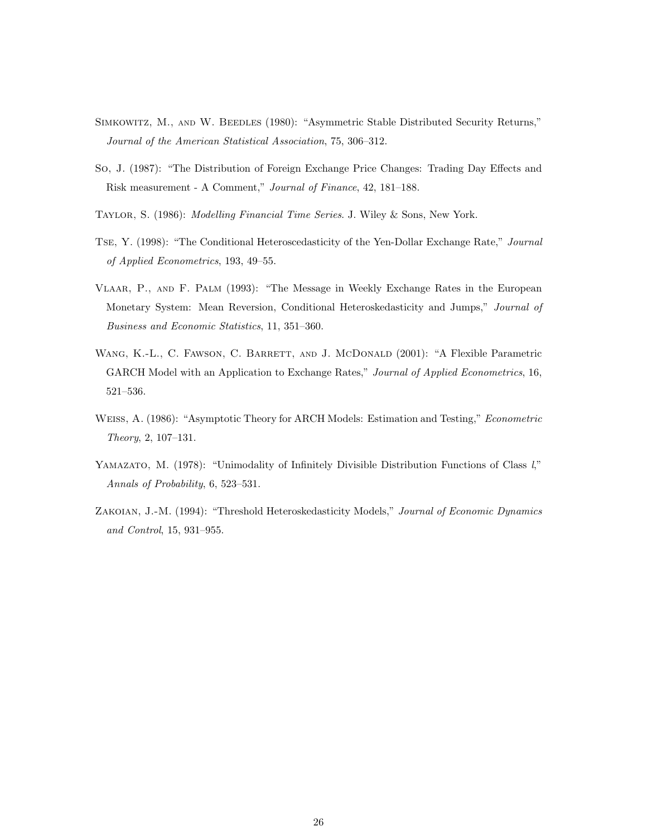- Simkowitz, M., and W. Beedles (1980): "Asymmetric Stable Distributed Security Returns," Journal of the American Statistical Association, 75, 306–312.
- So, J. (1987): "The Distribution of Foreign Exchange Price Changes: Trading Day Effects and Risk measurement - A Comment," Journal of Finance, 42, 181–188.
- Taylor, S. (1986): Modelling Financial Time Series. J. Wiley & Sons, New York.
- Tse, Y. (1998): "The Conditional Heteroscedasticity of the Yen-Dollar Exchange Rate," Journal of Applied Econometrics, 193, 49–55.
- Vlaar, P., and F. Palm (1993): "The Message in Weekly Exchange Rates in the European Monetary System: Mean Reversion, Conditional Heteroskedasticity and Jumps," Journal of Business and Economic Statistics, 11, 351–360.
- WANG, K.-L., C. FAWSON, C. BARRETT, AND J. MCDONALD (2001): "A Flexible Parametric GARCH Model with an Application to Exchange Rates," Journal of Applied Econometrics, 16, 521–536.
- Weiss, A. (1986): "Asymptotic Theory for ARCH Models: Estimation and Testing," Econometric Theory, 2, 107–131.
- YAMAZATO, M. (1978): "Unimodality of Infinitely Divisible Distribution Functions of Class  $l$ ," Annals of Probability, 6, 523–531.
- Zakoian, J.-M. (1994): "Threshold Heteroskedasticity Models," Journal of Economic Dynamics and Control, 15, 931–955.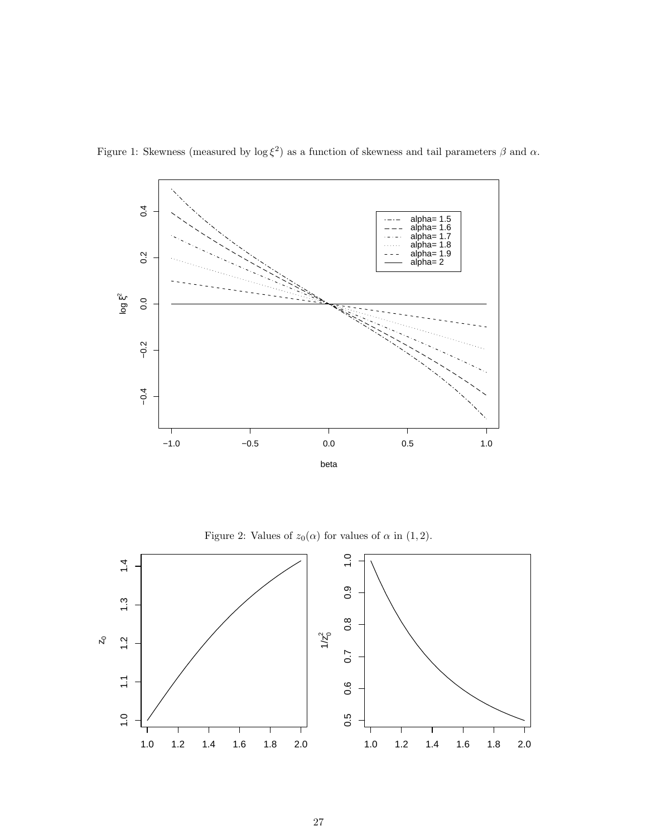

Figure 1: Skewness (measured by  $\log \xi^2$ ) as a function of skewness and tail parameters  $\beta$  and  $\alpha$ .

Figure 2: Values of  $z_0(\alpha)$  for values of  $\alpha$  in (1, 2).

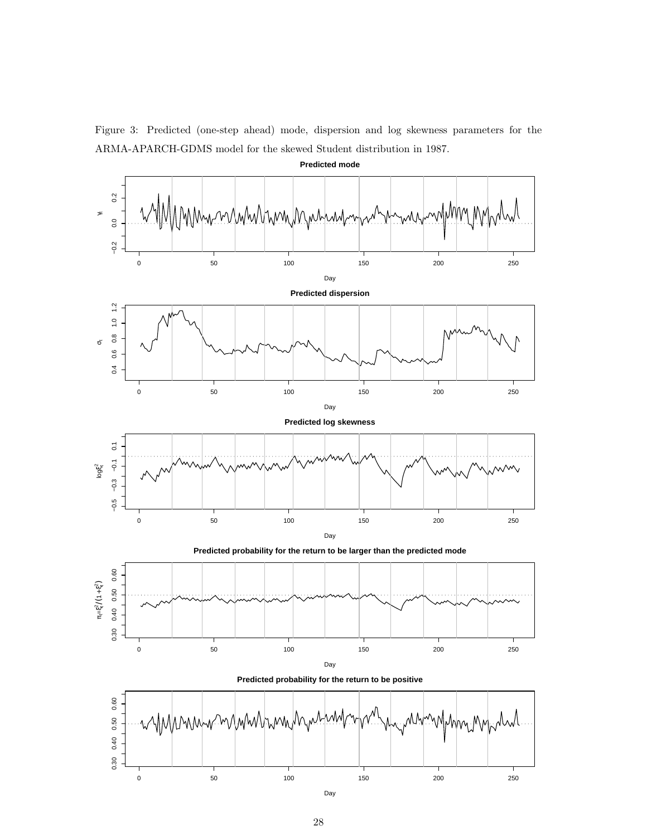

Figure 3: Predicted (one-step ahead) mode, dispersion and log skewness parameters for the ARMA-APARCH-GDMS model for the skewed Student distribution in 1987.

Day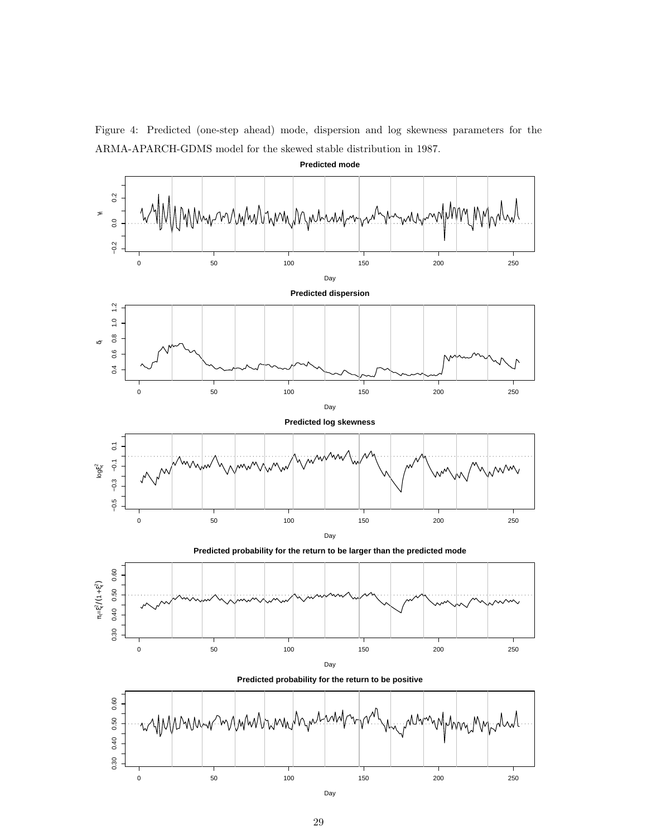

Figure 4: Predicted (one-step ahead) mode, dispersion and log skewness parameters for the ARMA-APARCH-GDMS model for the skewed stable distribution in 1987.



Day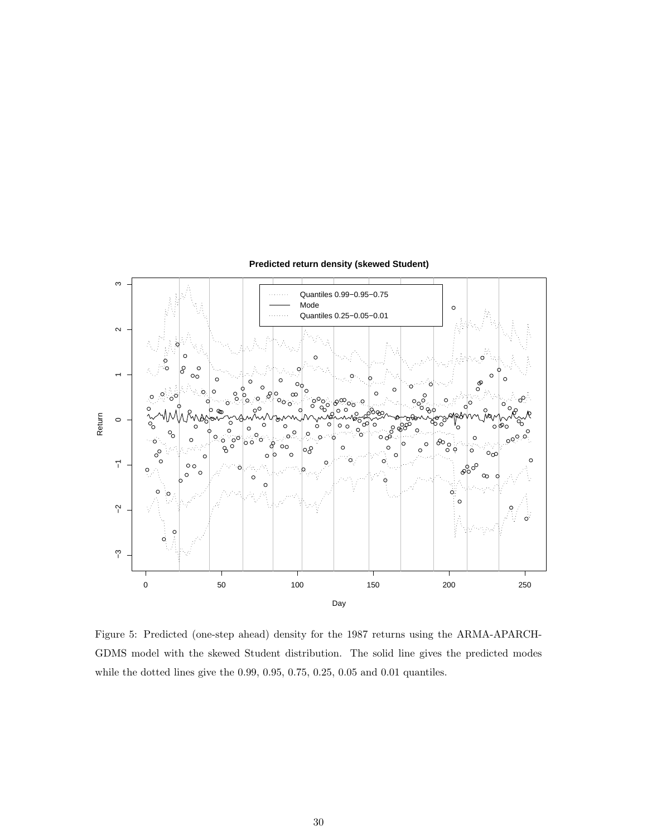

#### **Predicted return density (skewed Student)**

Figure 5: Predicted (one-step ahead) density for the 1987 returns using the ARMA-APARCH-GDMS model with the skewed Student distribution. The solid line gives the predicted modes while the dotted lines give the 0.99, 0.95, 0.75, 0.25, 0.05 and 0.01 quantiles.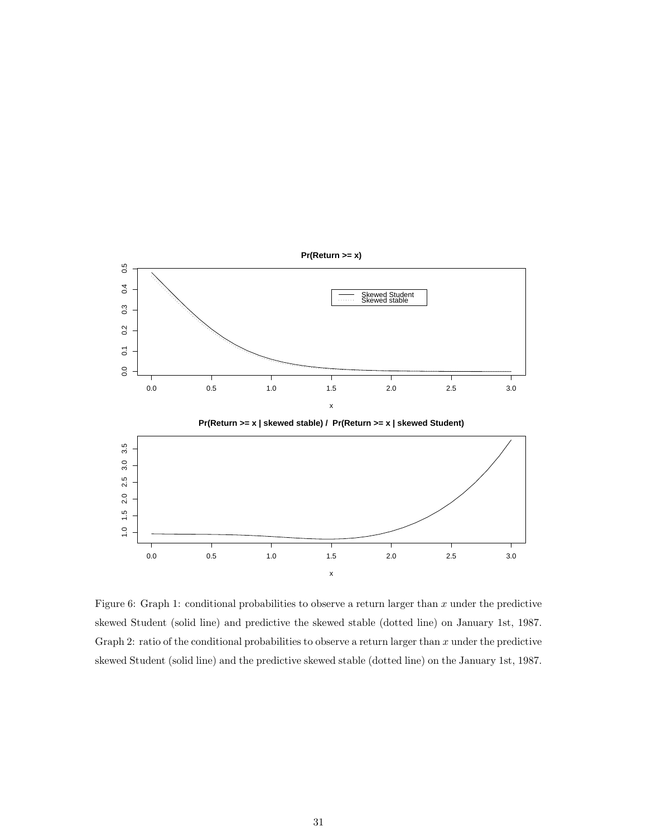

Figure 6: Graph 1: conditional probabilities to observe a return larger than  $x$  under the predictive skewed Student (solid line) and predictive the skewed stable (dotted line) on January 1st, 1987. Graph 2: ratio of the conditional probabilities to observe a return larger than  $x$  under the predictive skewed Student (solid line) and the predictive skewed stable (dotted line) on the January 1st, 1987.